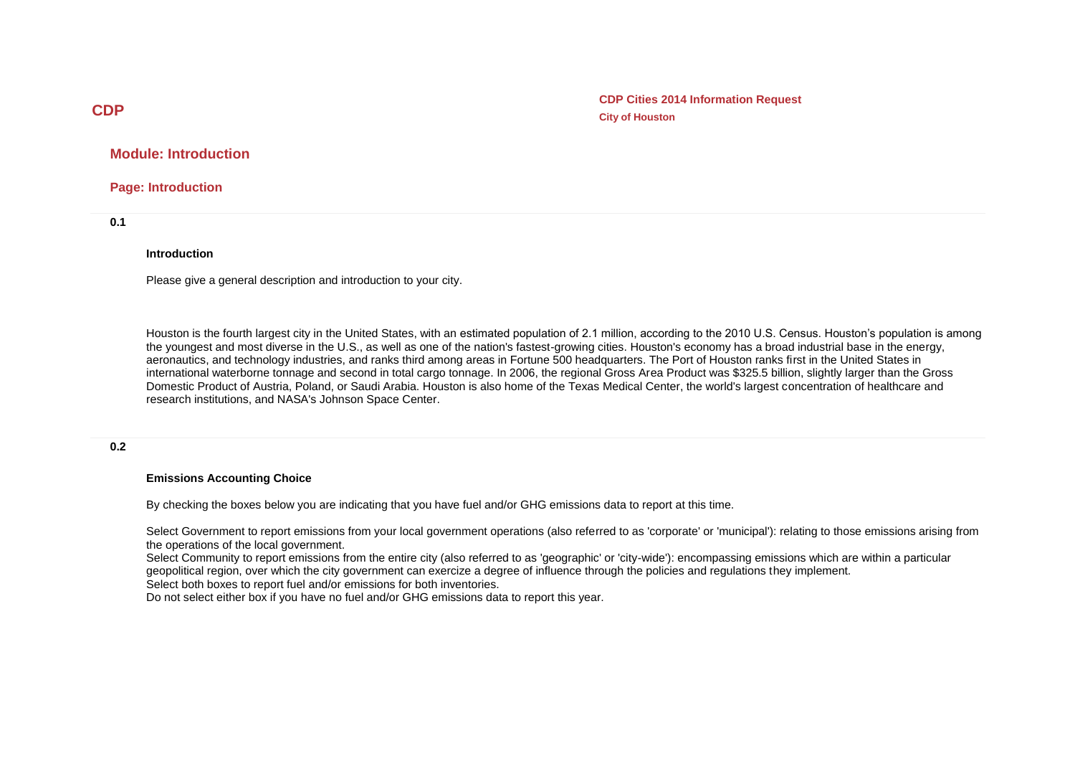**CDP Cities 2014 Information Request City of Houston**

# **Module: Introduction**

**Page: Introduction**

**0.1**

#### **Introduction**

Please give a general description and introduction to your city.

Houston is the fourth largest city in the United States, with an estimated population of 2.1 million, according to the 2010 U.S. Census. Houston's population is among the youngest and most diverse in the U.S., as well as one of the nation's fastest-growing cities. Houston's economy has a broad industrial base in the energy, aeronautics, and technology industries, and ranks third among areas in Fortune 500 headquarters. The Port of Houston ranks first in the United States in international waterborne tonnage and second in total cargo tonnage. In 2006, the regional Gross Area Product was \$325.5 billion, slightly larger than the Gross Domestic Product of Austria, Poland, or Saudi Arabia. Houston is also home of the Texas Medical Center, the world's largest concentration of healthcare and research institutions, and NASA's Johnson Space Center.

#### **0.2**

#### **Emissions Accounting Choice**

By checking the boxes below you are indicating that you have fuel and/or GHG emissions data to report at this time.

Select Government to report emissions from your local government operations (also referred to as 'corporate' or 'municipal'): relating to those emissions arising from the operations of the local government.

Select Community to report emissions from the entire city (also referred to as 'geographic' or 'city-wide'): encompassing emissions which are within a particular geopolitical region, over which the city government can exercize a degree of influence through the policies and regulations they implement.

Select both boxes to report fuel and/or emissions for both inventories.

Do not select either box if you have no fuel and/or GHG emissions data to report this year.

# **CDP**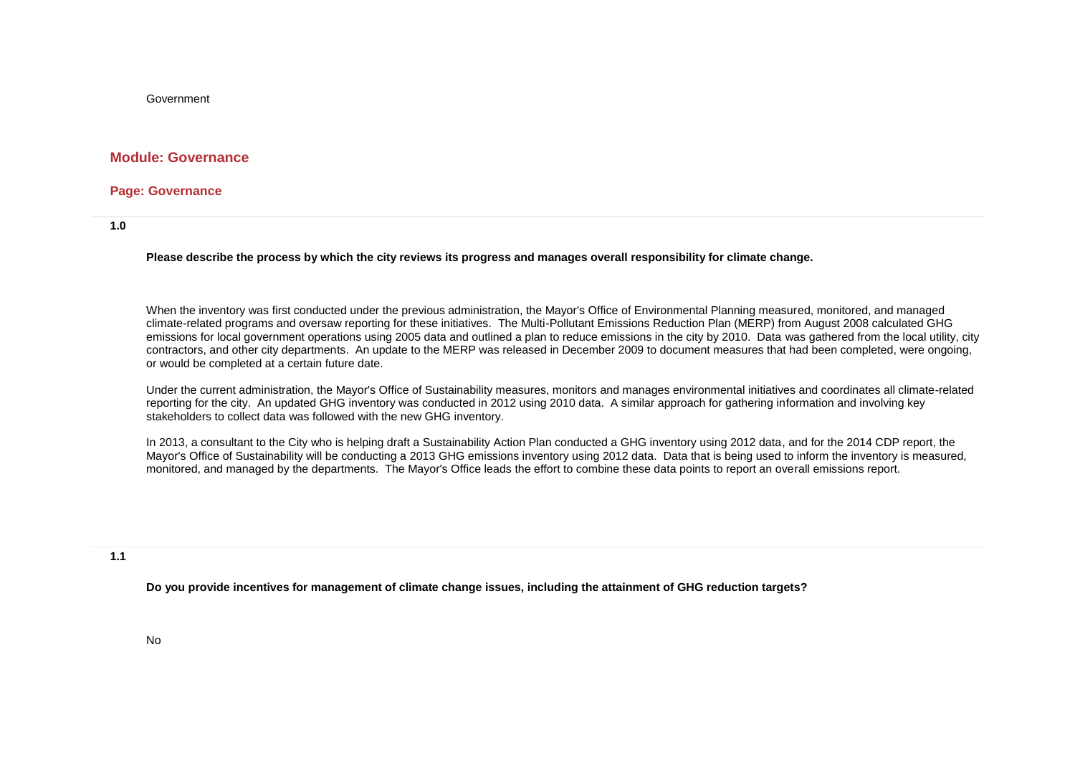Government

#### **Module: Governance**

#### **Page: Governance**

**1.0**

**Please describe the process by which the city reviews its progress and manages overall responsibility for climate change.**

When the inventory was first conducted under the previous administration, the Mayor's Office of Environmental Planning measured, monitored, and managed climate-related programs and oversaw reporting for these initiatives. The Multi-Pollutant Emissions Reduction Plan (MERP) from August 2008 calculated GHG emissions for local government operations using 2005 data and outlined a plan to reduce emissions in the city by 2010. Data was gathered from the local utility, city contractors, and other city departments. An update to the MERP was released in December 2009 to document measures that had been completed, were ongoing, or would be completed at a certain future date.

Under the current administration, the Mayor's Office of Sustainability measures, monitors and manages environmental initiatives and coordinates all climate-related reporting for the city. An updated GHG inventory was conducted in 2012 using 2010 data. A similar approach for gathering information and involving key stakeholders to collect data was followed with the new GHG inventory.

In 2013, a consultant to the City who is helping draft a Sustainability Action Plan conducted a GHG inventory using 2012 data, and for the 2014 CDP report, the Mayor's Office of Sustainability will be conducting a 2013 GHG emissions inventory using 2012 data. Data that is being used to inform the inventory is measured, monitored, and managed by the departments. The Mayor's Office leads the effort to combine these data points to report an overall emissions report.

**1.1**

**Do you provide incentives for management of climate change issues, including the attainment of GHG reduction targets?**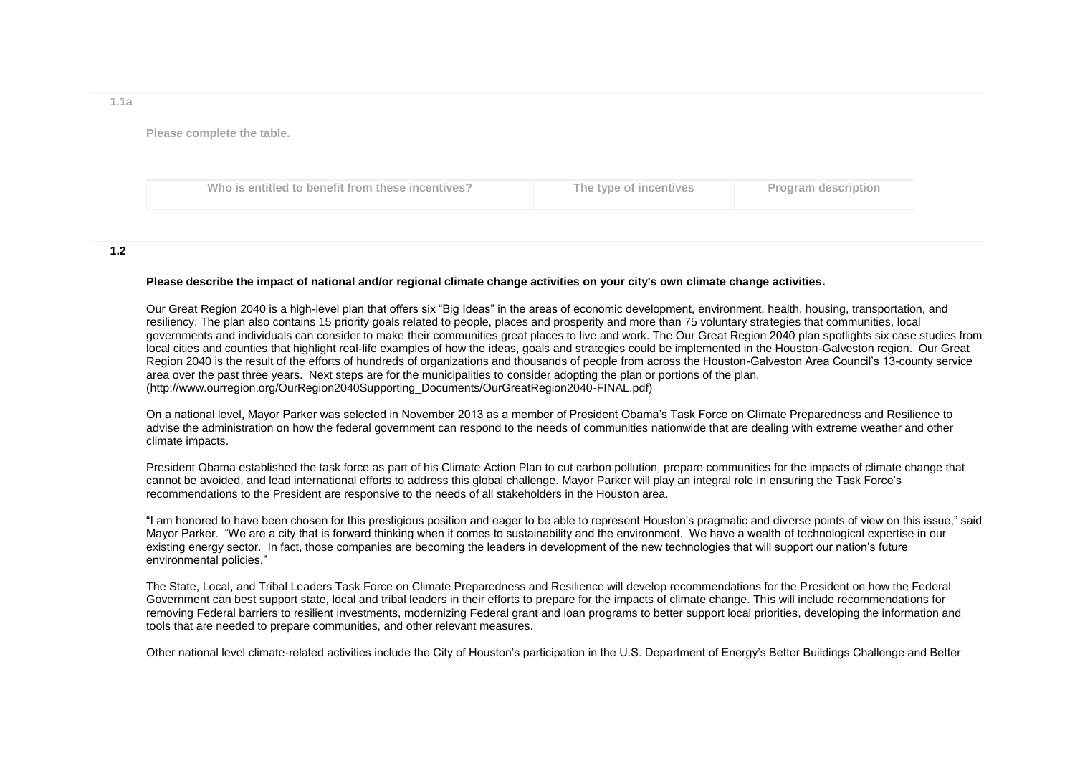**Please complete the table.**

|  | Who is entitled to benefit from these incentives? | The type of incentives | <b>Program description</b> |
|--|---------------------------------------------------|------------------------|----------------------------|
|--|---------------------------------------------------|------------------------|----------------------------|

#### **1.2**

#### **Please describe the impact of national and/or regional climate change activities on your city's own climate change activities.**

Our Great Region 2040 is a high-level plan that offers six "Big Ideas" in the areas of economic development, environment, health, housing, transportation, and resiliency. The plan also contains 15 priority goals related to people, places and prosperity and more than 75 voluntary strategies that communities, local governments and individuals can consider to make their communities great places to live and work. The Our Great Region 2040 plan spotlights six case studies from local cities and counties that highlight real-life examples of how the ideas, goals and strategies could be implemented in the Houston-Galveston region. Our Great Region 2040 is the result of the efforts of hundreds of organizations and thousands of people from across the Houston-Galveston Area Council's 13-county service area over the past three years. Next steps are for the municipalities to consider adopting the plan or portions of the plan. (http://www.ourregion.org/OurRegion2040Supporting\_Documents/OurGreatRegion2040-FINAL.pdf)

On a national level, Mayor Parker was selected in November 2013 as a member of President Obama's Task Force on Climate Preparedness and Resilience to advise the administration on how the federal government can respond to the needs of communities nationwide that are dealing with extreme weather and other climate impacts.

President Obama established the task force as part of his Climate Action Plan to cut carbon pollution, prepare communities for the impacts of climate change that cannot be avoided, and lead international efforts to address this global challenge. Mayor Parker will play an integral role in ensuring the Task Force's recommendations to the President are responsive to the needs of all stakeholders in the Houston area.

"I am honored to have been chosen for this prestigious position and eager to be able to represent Houston's pragmatic and diverse points of view on this issue," said Mayor Parker. "We are a city that is forward thinking when it comes to sustainability and the environment. We have a wealth of technological expertise in our existing energy sector. In fact, those companies are becoming the leaders in development of the new technologies that will support our nation's future environmental policies."

The State, Local, and Tribal Leaders Task Force on Climate Preparedness and Resilience will develop recommendations for the President on how the Federal Government can best support state, local and tribal leaders in their efforts to prepare for the impacts of climate change. This will include recommendations for removing Federal barriers to resilient investments, modernizing Federal grant and loan programs to better support local priorities, developing the information and tools that are needed to prepare communities, and other relevant measures.

Other national level climate-related activities include the City of Houston's participation in the U.S. Department of Energy's Better Buildings Challenge and Better

**1.1a**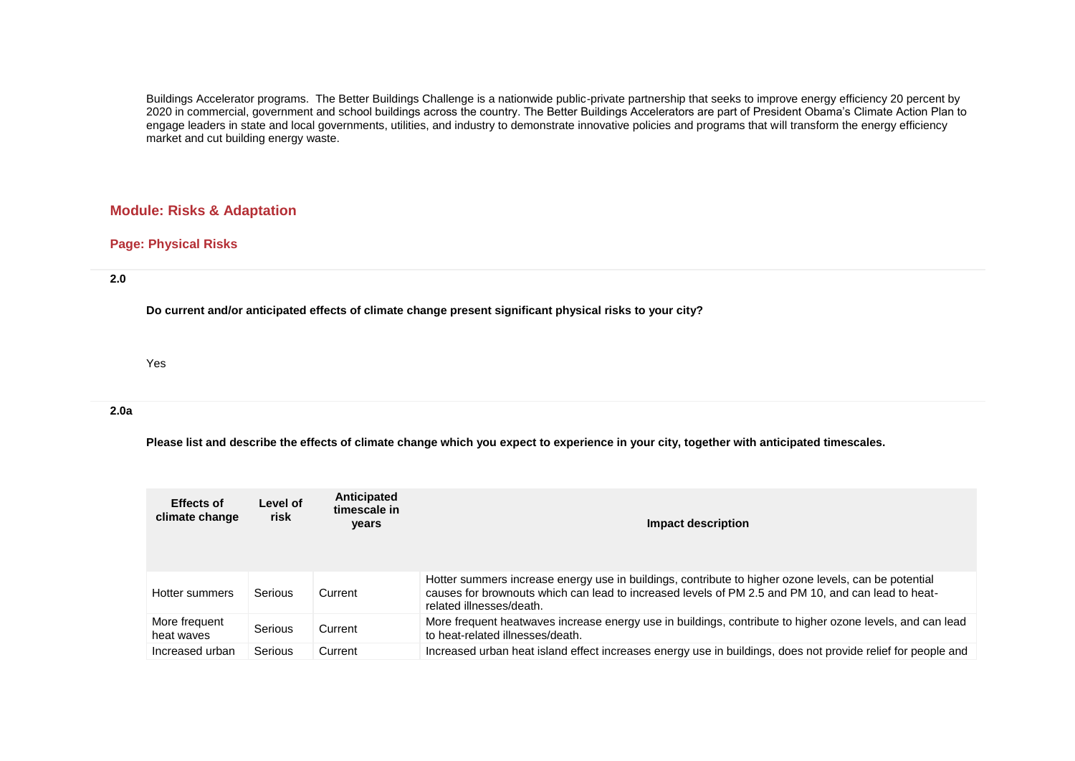Buildings Accelerator programs. The Better Buildings Challenge is a nationwide public-private partnership that seeks to improve energy efficiency 20 percent by 2020 in commercial, government and school buildings across the country. The Better Buildings Accelerators are part of President Obama's Climate Action Plan to engage leaders in state and local governments, utilities, and industry to demonstrate innovative policies and programs that will transform the energy efficiency market and cut building energy waste.

# **Module: Risks & Adaptation**

# **Page: Physical Risks**

**2.0**

**Do current and/or anticipated effects of climate change present significant physical risks to your city?**

Yes

**2.0a**

**Please list and describe the effects of climate change which you expect to experience in your city, together with anticipated timescales.**

| <b>Effects of</b><br>climate change | Level of<br>risk | Anticipated<br>timescale in<br><b>vears</b> | Impact description                                                                                                                                                                                                                     |
|-------------------------------------|------------------|---------------------------------------------|----------------------------------------------------------------------------------------------------------------------------------------------------------------------------------------------------------------------------------------|
| Hotter summers                      | Serious          | Current                                     | Hotter summers increase energy use in buildings, contribute to higher ozone levels, can be potential<br>causes for brownouts which can lead to increased levels of PM 2.5 and PM 10, and can lead to heat-<br>related illnesses/death. |
| More frequent<br>heat waves         | Serious          | Current                                     | More frequent heatwaves increase energy use in buildings, contribute to higher ozone levels, and can lead<br>to heat-related illnesses/death.                                                                                          |
| Increased urban                     | Serious          | Current                                     | Increased urban heat island effect increases energy use in buildings, does not provide relief for people and                                                                                                                           |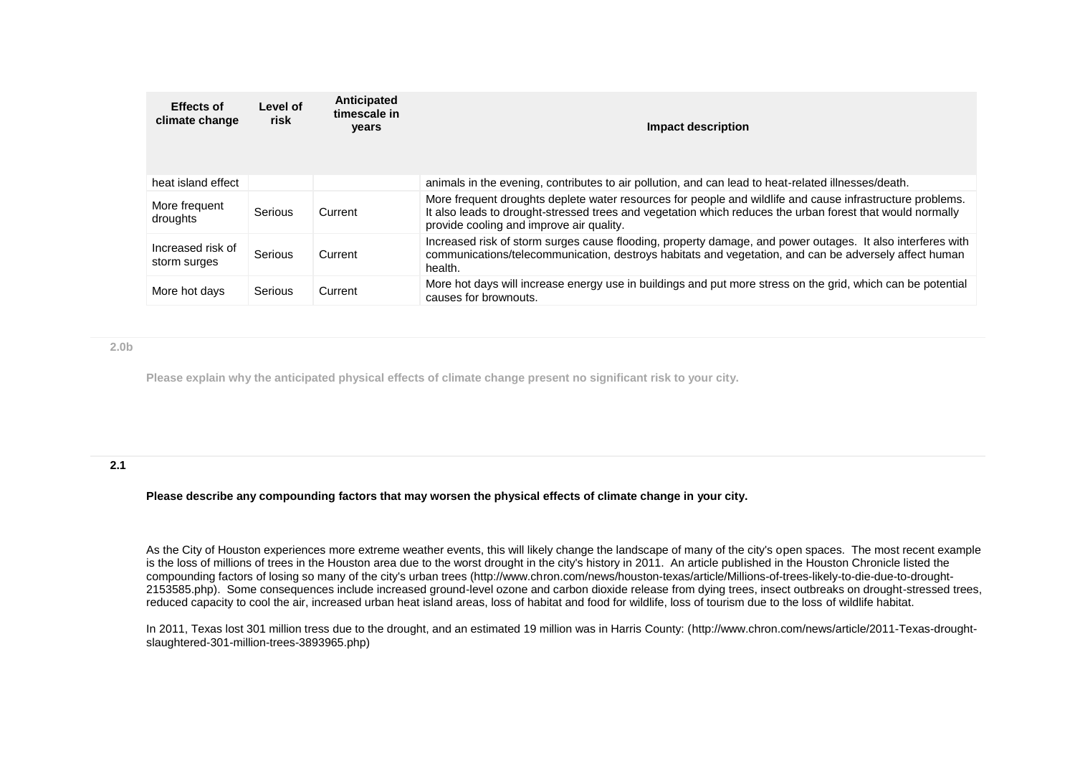| <b>Effects of</b><br>climate change | Level of<br>risk | Anticipated<br>timescale in<br>years | Impact description                                                                                                                                                                                                                                                 |
|-------------------------------------|------------------|--------------------------------------|--------------------------------------------------------------------------------------------------------------------------------------------------------------------------------------------------------------------------------------------------------------------|
| heat island effect                  |                  |                                      | animals in the evening, contributes to air pollution, and can lead to heat-related illnesses/death.                                                                                                                                                                |
| More frequent<br>droughts           | Serious          | Current                              | More frequent droughts deplete water resources for people and wildlife and cause infrastructure problems.<br>It also leads to drought-stressed trees and vegetation which reduces the urban forest that would normally<br>provide cooling and improve air quality. |
| Increased risk of<br>storm surges   | Serious          | Current                              | Increased risk of storm surges cause flooding, property damage, and power outages. It also interferes with<br>communications/telecommunication, destroys habitats and vegetation, and can be adversely affect human<br>health.                                     |
| More hot days                       | Serious          | Current                              | More hot days will increase energy use in buildings and put more stress on the grid, which can be potential<br>causes for brownouts.                                                                                                                               |

**2.0b**

**Please explain why the anticipated physical effects of climate change present no significant risk to your city.** 

# **2.1**

**Please describe any compounding factors that may worsen the physical effects of climate change in your city.**

As the City of Houston experiences more extreme weather events, this will likely change the landscape of many of the city's open spaces. The most recent example is the loss of millions of trees in the Houston area due to the worst drought in the city's history in 2011. An article published in the Houston Chronicle listed the compounding factors of losing so many of the city's urban trees (http://www.chron.com/news/houston-texas/article/Millions-of-trees-likely-to-die-due-to-drought-2153585.php). Some consequences include increased ground-level ozone and carbon dioxide release from dying trees, insect outbreaks on drought-stressed trees, reduced capacity to cool the air, increased urban heat island areas, loss of habitat and food for wildlife, loss of tourism due to the loss of wildlife habitat.

In 2011, Texas lost 301 million tress due to the drought, and an estimated 19 million was in Harris County: (http://www.chron.com/news/article/2011-Texas-droughtslaughtered-301-million-trees-3893965.php)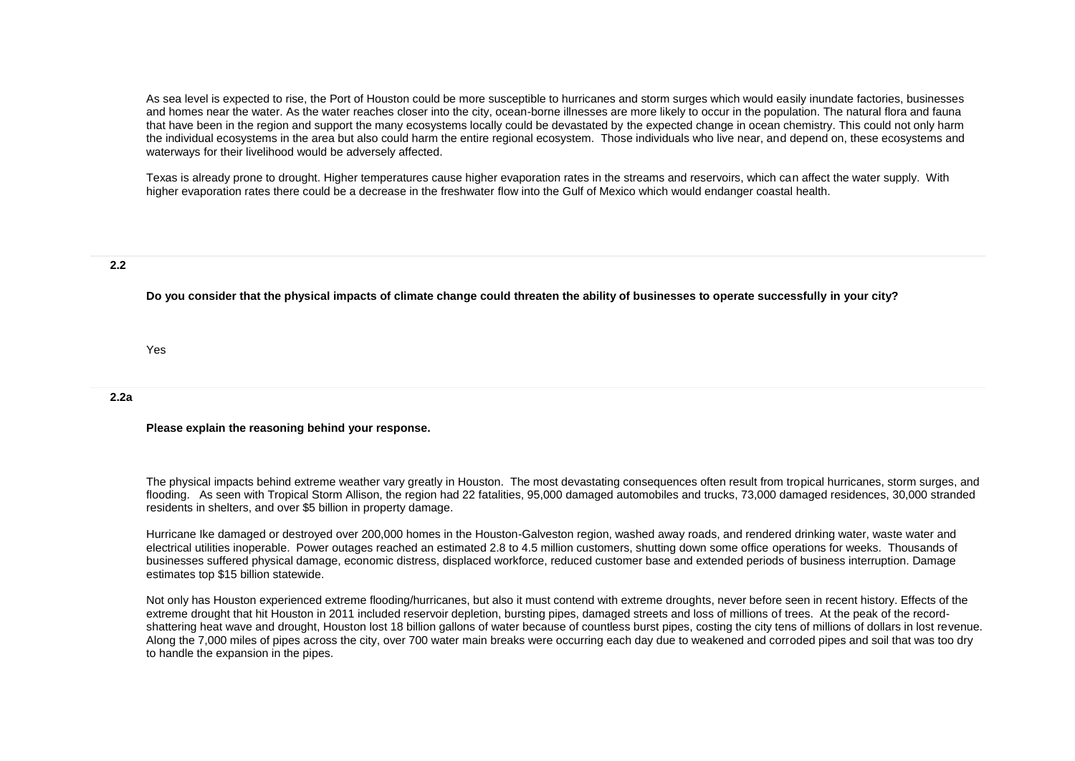As sea level is expected to rise, the Port of Houston could be more susceptible to hurricanes and storm surges which would easily inundate factories, businesses and homes near the water. As the water reaches closer into the city, ocean-borne illnesses are more likely to occur in the population. The natural flora and fauna that have been in the region and support the many ecosystems locally could be devastated by the expected change in ocean chemistry. This could not only harm the individual ecosystems in the area but also could harm the entire regional ecosystem. Those individuals who live near, and depend on, these ecosystems and waterways for their livelihood would be adversely affected.

Texas is already prone to drought. Higher temperatures cause higher evaporation rates in the streams and reservoirs, which can affect the water supply. With higher evaporation rates there could be a decrease in the freshwater flow into the Gulf of Mexico which would endanger coastal health.

#### **2.2**

**Do you consider that the physical impacts of climate change could threaten the ability of businesses to operate successfully in your city?**

Yes

#### **2.2a**

**Please explain the reasoning behind your response.**

The physical impacts behind extreme weather vary greatly in Houston. The most devastating consequences often result from tropical hurricanes, storm surges, and flooding. As seen with Tropical Storm Allison, the region had 22 fatalities, 95,000 damaged automobiles and trucks, 73,000 damaged residences, 30,000 stranded residents in shelters, and over \$5 billion in property damage.

Hurricane Ike damaged or destroyed over 200,000 homes in the Houston-Galveston region, washed away roads, and rendered drinking water, waste water and electrical utilities inoperable. Power outages reached an estimated 2.8 to 4.5 million customers, shutting down some office operations for weeks. Thousands of businesses suffered physical damage, economic distress, displaced workforce, reduced customer base and extended periods of business interruption. Damage estimates top \$15 billion statewide.

Not only has Houston experienced extreme flooding/hurricanes, but also it must contend with extreme droughts, never before seen in recent history. Effects of the extreme drought that hit Houston in 2011 included reservoir depletion, bursting pipes, damaged streets and loss of millions of trees. At the peak of the recordshattering heat wave and drought, Houston lost 18 billion gallons of water because of countless burst pipes, costing the city tens of millions of dollars in lost revenue. Along the 7,000 miles of pipes across the city, over 700 water main breaks were occurring each day due to weakened and corroded pipes and soil that was too dry to handle the expansion in the pipes.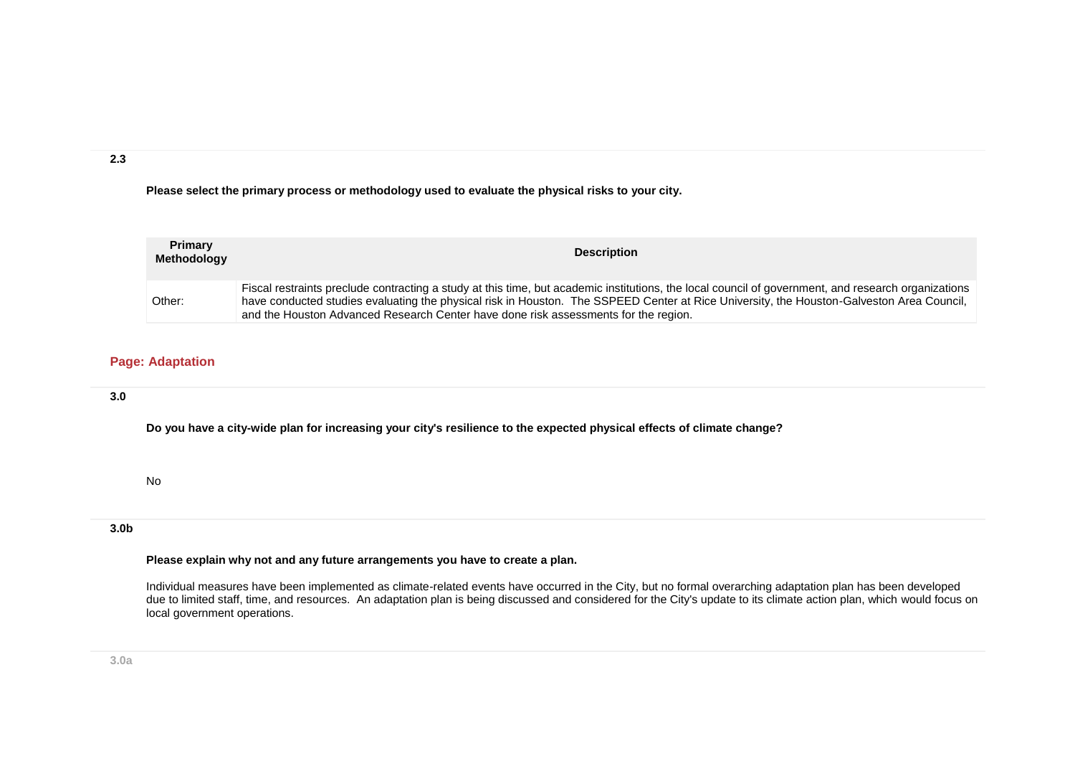**2.3**

**Please select the primary process or methodology used to evaluate the physical risks to your city.**

| <b>Primary</b><br>Methodology | <b>Description</b>                                                                                                                                                                                                                                                                                                                                                                      |
|-------------------------------|-----------------------------------------------------------------------------------------------------------------------------------------------------------------------------------------------------------------------------------------------------------------------------------------------------------------------------------------------------------------------------------------|
| Other:                        | Fiscal restraints preclude contracting a study at this time, but academic institutions, the local council of government, and research organizations<br>have conducted studies evaluating the physical risk in Houston. The SSPEED Center at Rice University, the Houston-Galveston Area Council,<br>and the Houston Advanced Research Center have done risk assessments for the region. |

# **Page: Adaptation**

# **3.0**

**Do you have a city-wide plan for increasing your city's resilience to the expected physical effects of climate change?**

No

# **3.0b**

#### **Please explain why not and any future arrangements you have to create a plan.**

Individual measures have been implemented as climate-related events have occurred in the City, but no formal overarching adaptation plan has been developed due to limited staff, time, and resources. An adaptation plan is being discussed and considered for the City's update to its climate action plan, which would focus on local government operations.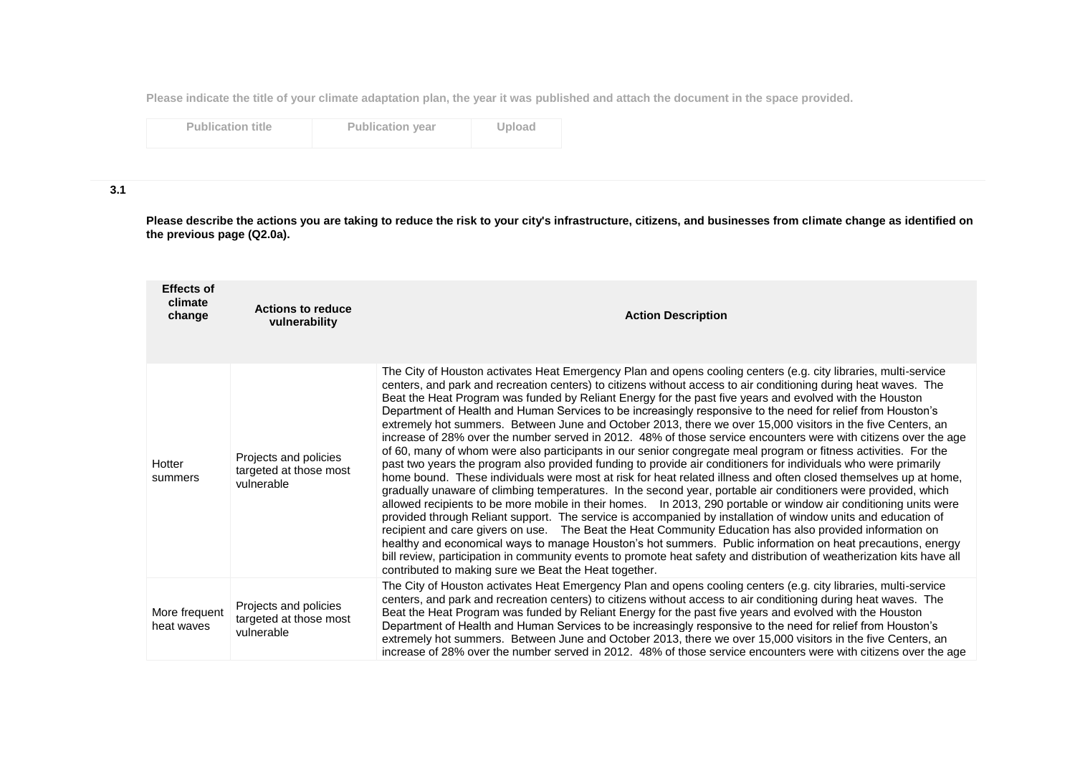**Please indicate the title of your climate adaptation plan, the year it was published and attach the document in the space provided.**

| <b>Publication title</b> |  |
|--------------------------|--|
|                          |  |

**Publication year Upload** 

## **3.1**

**Please describe the actions you are taking to reduce the risk to your city's infrastructure, citizens, and businesses from climate change as identified on the previous page (Q2.0a).**

| <b>Effects of</b><br>climate<br>change | <b>Actions to reduce</b><br>vulnerability                     | <b>Action Description</b>                                                                                                                                                                                                                                                                                                                                                                                                                                                                                                                                                                                                                                                                                                                                                                                                                                                                                                                                                                                                                                                                                                                                                                                                                                                                                                                                                                                                                                                                                                                                                                                                                                                                                                                                                                                                      |
|----------------------------------------|---------------------------------------------------------------|--------------------------------------------------------------------------------------------------------------------------------------------------------------------------------------------------------------------------------------------------------------------------------------------------------------------------------------------------------------------------------------------------------------------------------------------------------------------------------------------------------------------------------------------------------------------------------------------------------------------------------------------------------------------------------------------------------------------------------------------------------------------------------------------------------------------------------------------------------------------------------------------------------------------------------------------------------------------------------------------------------------------------------------------------------------------------------------------------------------------------------------------------------------------------------------------------------------------------------------------------------------------------------------------------------------------------------------------------------------------------------------------------------------------------------------------------------------------------------------------------------------------------------------------------------------------------------------------------------------------------------------------------------------------------------------------------------------------------------------------------------------------------------------------------------------------------------|
| Hotter<br>summers                      | Projects and policies<br>targeted at those most<br>vulnerable | The City of Houston activates Heat Emergency Plan and opens cooling centers (e.g. city libraries, multi-service<br>centers, and park and recreation centers) to citizens without access to air conditioning during heat waves. The<br>Beat the Heat Program was funded by Reliant Energy for the past five years and evolved with the Houston<br>Department of Health and Human Services to be increasingly responsive to the need for relief from Houston's<br>extremely hot summers. Between June and October 2013, there we over 15,000 visitors in the five Centers, an<br>increase of 28% over the number served in 2012. 48% of those service encounters were with citizens over the age<br>of 60, many of whom were also participants in our senior congregate meal program or fitness activities. For the<br>past two years the program also provided funding to provide air conditioners for individuals who were primarily<br>home bound. These individuals were most at risk for heat related illness and often closed themselves up at home,<br>gradually unaware of climbing temperatures. In the second year, portable air conditioners were provided, which<br>allowed recipients to be more mobile in their homes. In 2013, 290 portable or window air conditioning units were<br>provided through Reliant support. The service is accompanied by installation of window units and education of<br>recipient and care givers on use.  The Beat the Heat Community Education has also provided information on<br>healthy and economical ways to manage Houston's hot summers. Public information on heat precautions, energy<br>bill review, participation in community events to promote heat safety and distribution of weatherization kits have all<br>contributed to making sure we Beat the Heat together. |
| More frequent<br>heat waves            | Projects and policies<br>targeted at those most<br>vulnerable | The City of Houston activates Heat Emergency Plan and opens cooling centers (e.g. city libraries, multi-service<br>centers, and park and recreation centers) to citizens without access to air conditioning during heat waves. The<br>Beat the Heat Program was funded by Reliant Energy for the past five years and evolved with the Houston<br>Department of Health and Human Services to be increasingly responsive to the need for relief from Houston's<br>extremely hot summers. Between June and October 2013, there we over 15,000 visitors in the five Centers, an<br>increase of 28% over the number served in 2012. 48% of those service encounters were with citizens over the age                                                                                                                                                                                                                                                                                                                                                                                                                                                                                                                                                                                                                                                                                                                                                                                                                                                                                                                                                                                                                                                                                                                                 |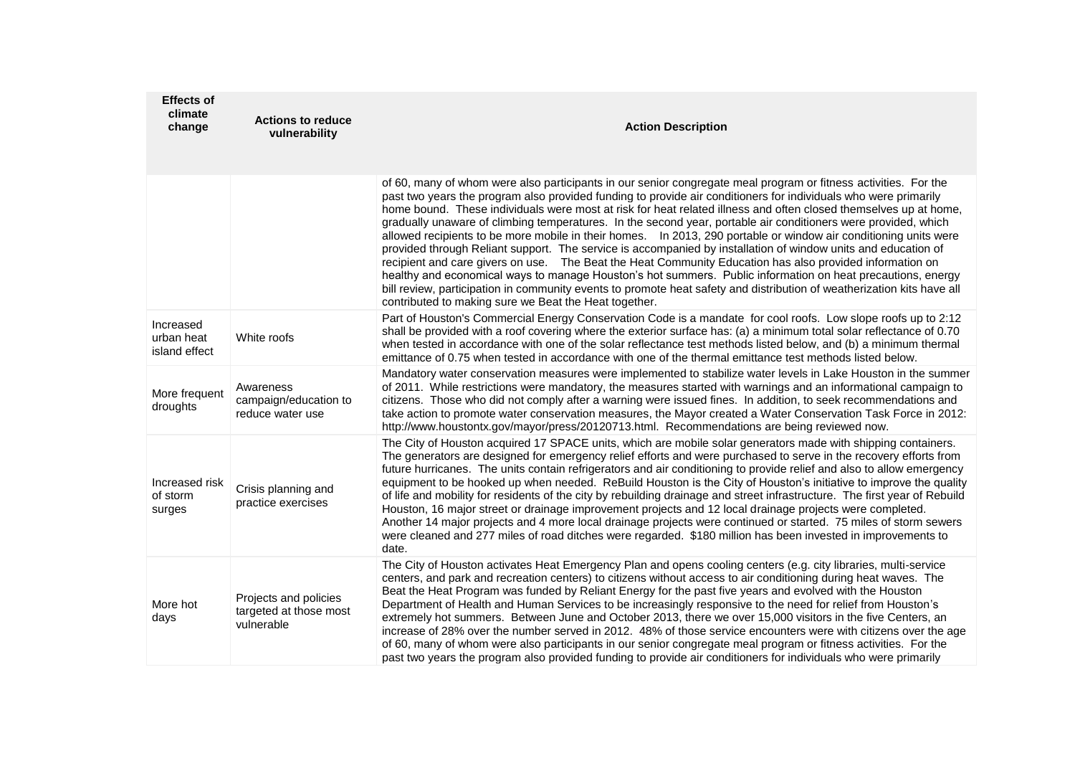| <b>Effects of</b><br>climate<br>change   | <b>Actions to reduce</b><br>vulnerability                     | <b>Action Description</b>                                                                                                                                                                                                                                                                                                                                                                                                                                                                                                                                                                                                                                                                                                                                                                                                                                                                                                                                                                                                                                                                                                    |
|------------------------------------------|---------------------------------------------------------------|------------------------------------------------------------------------------------------------------------------------------------------------------------------------------------------------------------------------------------------------------------------------------------------------------------------------------------------------------------------------------------------------------------------------------------------------------------------------------------------------------------------------------------------------------------------------------------------------------------------------------------------------------------------------------------------------------------------------------------------------------------------------------------------------------------------------------------------------------------------------------------------------------------------------------------------------------------------------------------------------------------------------------------------------------------------------------------------------------------------------------|
|                                          |                                                               | of 60, many of whom were also participants in our senior congregate meal program or fitness activities. For the<br>past two years the program also provided funding to provide air conditioners for individuals who were primarily<br>home bound. These individuals were most at risk for heat related illness and often closed themselves up at home,<br>gradually unaware of climbing temperatures. In the second year, portable air conditioners were provided, which<br>allowed recipients to be more mobile in their homes. In 2013, 290 portable or window air conditioning units were<br>provided through Reliant support. The service is accompanied by installation of window units and education of<br>recipient and care givers on use.  The Beat the Heat Community Education has also provided information on<br>healthy and economical ways to manage Houston's hot summers. Public information on heat precautions, energy<br>bill review, participation in community events to promote heat safety and distribution of weatherization kits have all<br>contributed to making sure we Beat the Heat together. |
| Increased<br>urban heat<br>island effect | White roofs                                                   | Part of Houston's Commercial Energy Conservation Code is a mandate for cool roofs. Low slope roofs up to 2:12<br>shall be provided with a roof covering where the exterior surface has: (a) a minimum total solar reflectance of 0.70<br>when tested in accordance with one of the solar reflectance test methods listed below, and (b) a minimum thermal<br>emittance of 0.75 when tested in accordance with one of the thermal emittance test methods listed below.                                                                                                                                                                                                                                                                                                                                                                                                                                                                                                                                                                                                                                                        |
| More frequent<br>droughts                | Awareness<br>campaign/education to<br>reduce water use        | Mandatory water conservation measures were implemented to stabilize water levels in Lake Houston in the summer<br>of 2011. While restrictions were mandatory, the measures started with warnings and an informational campaign to<br>citizens. Those who did not comply after a warning were issued fines. In addition, to seek recommendations and<br>take action to promote water conservation measures, the Mayor created a Water Conservation Task Force in 2012:<br>http://www.houstontx.gov/mayor/press/20120713.html. Recommendations are being reviewed now.                                                                                                                                                                                                                                                                                                                                                                                                                                                                                                                                                         |
| Increased risk<br>of storm<br>surges     | Crisis planning and<br>practice exercises                     | The City of Houston acquired 17 SPACE units, which are mobile solar generators made with shipping containers.<br>The generators are designed for emergency relief efforts and were purchased to serve in the recovery efforts from<br>future hurricanes. The units contain refrigerators and air conditioning to provide relief and also to allow emergency<br>equipment to be hooked up when needed. ReBuild Houston is the City of Houston's initiative to improve the quality<br>of life and mobility for residents of the city by rebuilding drainage and street infrastructure. The first year of Rebuild<br>Houston, 16 major street or drainage improvement projects and 12 local drainage projects were completed.<br>Another 14 major projects and 4 more local drainage projects were continued or started. 75 miles of storm sewers<br>were cleaned and 277 miles of road ditches were regarded. \$180 million has been invested in improvements to<br>date.                                                                                                                                                      |
| More hot<br>days                         | Projects and policies<br>targeted at those most<br>vulnerable | The City of Houston activates Heat Emergency Plan and opens cooling centers (e.g. city libraries, multi-service<br>centers, and park and recreation centers) to citizens without access to air conditioning during heat waves. The<br>Beat the Heat Program was funded by Reliant Energy for the past five years and evolved with the Houston<br>Department of Health and Human Services to be increasingly responsive to the need for relief from Houston's<br>extremely hot summers. Between June and October 2013, there we over 15,000 visitors in the five Centers, an<br>increase of 28% over the number served in 2012. 48% of those service encounters were with citizens over the age<br>of 60, many of whom were also participants in our senior congregate meal program or fitness activities. For the<br>past two years the program also provided funding to provide air conditioners for individuals who were primarily                                                                                                                                                                                         |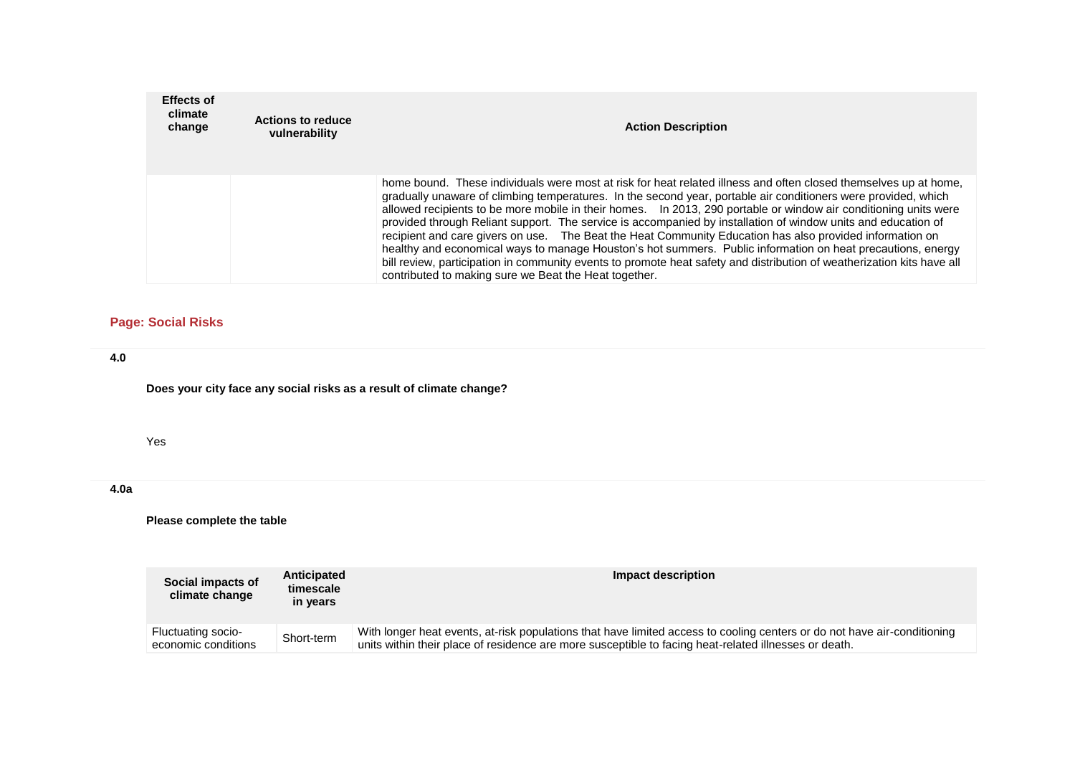| <b>Effects of</b><br>climate<br>change | <b>Actions to reduce</b><br>vulnerability | <b>Action Description</b>                                                                                                                                                                                                                                                                                                                                                                                                                                                                                                                                                                                                                                                                                                                                                                                                                                                              |
|----------------------------------------|-------------------------------------------|----------------------------------------------------------------------------------------------------------------------------------------------------------------------------------------------------------------------------------------------------------------------------------------------------------------------------------------------------------------------------------------------------------------------------------------------------------------------------------------------------------------------------------------------------------------------------------------------------------------------------------------------------------------------------------------------------------------------------------------------------------------------------------------------------------------------------------------------------------------------------------------|
|                                        |                                           | home bound. These individuals were most at risk for heat related illness and often closed themselves up at home,<br>gradually unaware of climbing temperatures. In the second year, portable air conditioners were provided, which<br>allowed recipients to be more mobile in their homes.  In 2013, 290 portable or window air conditioning units were<br>provided through Reliant support. The service is accompanied by installation of window units and education of<br>recipient and care givers on use. The Beat the Heat Community Education has also provided information on<br>healthy and economical ways to manage Houston's hot summers. Public information on heat precautions, energy<br>bill review, participation in community events to promote heat safety and distribution of weatherization kits have all<br>contributed to making sure we Beat the Heat together. |

# **Page: Social Risks**

## **4.0**

**Does your city face any social risks as a result of climate change?**

#### Yes

# **4.0a**

# **Please complete the table**

| Social impacts of<br>climate change       | Anticipated<br>timescale<br>in years | Impact description                                                                                                                                                                                                                |
|-------------------------------------------|--------------------------------------|-----------------------------------------------------------------------------------------------------------------------------------------------------------------------------------------------------------------------------------|
| Fluctuating socio-<br>economic conditions | Short-term                           | With longer heat events, at-risk populations that have limited access to cooling centers or do not have air-conditioning<br>units within their place of residence are more susceptible to facing heat-related illnesses or death. |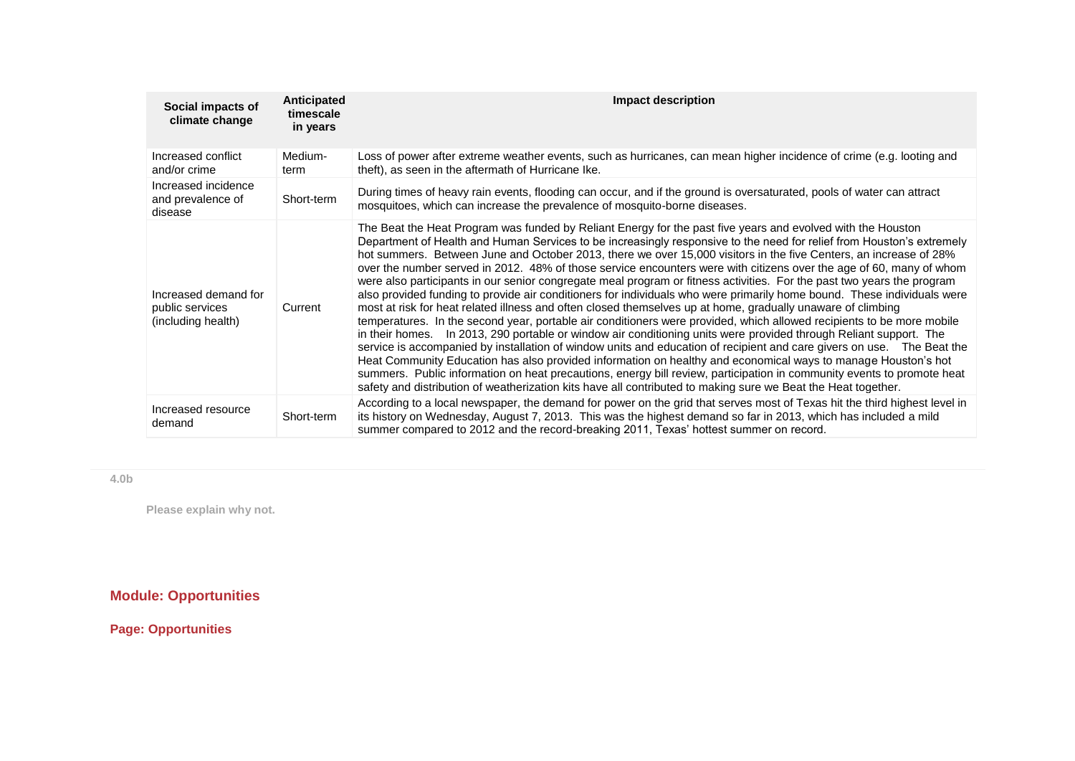| Social impacts of<br>climate change                           | Anticipated<br>timescale<br>in years | <b>Impact description</b>                                                                                                                                                                                                                                                                                                                                                                                                                                                                                                                                                                                                                                                                                                                                                                                                                                                                                                                                                                                                                                                                                                                                                                                                                                                                                                                                                                                                                                                                                                                                                                 |
|---------------------------------------------------------------|--------------------------------------|-------------------------------------------------------------------------------------------------------------------------------------------------------------------------------------------------------------------------------------------------------------------------------------------------------------------------------------------------------------------------------------------------------------------------------------------------------------------------------------------------------------------------------------------------------------------------------------------------------------------------------------------------------------------------------------------------------------------------------------------------------------------------------------------------------------------------------------------------------------------------------------------------------------------------------------------------------------------------------------------------------------------------------------------------------------------------------------------------------------------------------------------------------------------------------------------------------------------------------------------------------------------------------------------------------------------------------------------------------------------------------------------------------------------------------------------------------------------------------------------------------------------------------------------------------------------------------------------|
| Increased conflict<br>and/or crime                            | Medium-<br>term                      | Loss of power after extreme weather events, such as hurricanes, can mean higher incidence of crime (e.g. looting and<br>theft), as seen in the aftermath of Hurricane Ike.                                                                                                                                                                                                                                                                                                                                                                                                                                                                                                                                                                                                                                                                                                                                                                                                                                                                                                                                                                                                                                                                                                                                                                                                                                                                                                                                                                                                                |
| Increased incidence<br>and prevalence of<br>disease           | Short-term                           | During times of heavy rain events, flooding can occur, and if the ground is oversaturated, pools of water can attract<br>mosquitoes, which can increase the prevalence of mosquito-borne diseases.                                                                                                                                                                                                                                                                                                                                                                                                                                                                                                                                                                                                                                                                                                                                                                                                                                                                                                                                                                                                                                                                                                                                                                                                                                                                                                                                                                                        |
| Increased demand for<br>public services<br>(including health) | Current                              | The Beat the Heat Program was funded by Reliant Energy for the past five years and evolved with the Houston<br>Department of Health and Human Services to be increasingly responsive to the need for relief from Houston's extremely<br>hot summers. Between June and October 2013, there we over 15,000 visitors in the five Centers, an increase of 28%<br>over the number served in 2012. 48% of those service encounters were with citizens over the age of 60, many of whom<br>were also participants in our senior congregate meal program or fitness activities. For the past two years the program<br>also provided funding to provide air conditioners for individuals who were primarily home bound. These individuals were<br>most at risk for heat related illness and often closed themselves up at home, gradually unaware of climbing<br>temperatures. In the second year, portable air conditioners were provided, which allowed recipients to be more mobile<br>in their homes. In 2013, 290 portable or window air conditioning units were provided through Reliant support. The<br>service is accompanied by installation of window units and education of recipient and care givers on use.  The Beat the<br>Heat Community Education has also provided information on healthy and economical ways to manage Houston's hot<br>summers. Public information on heat precautions, energy bill review, participation in community events to promote heat<br>safety and distribution of weatherization kits have all contributed to making sure we Beat the Heat together. |
| Increased resource<br>demand                                  | Short-term                           | According to a local newspaper, the demand for power on the grid that serves most of Texas hit the third highest level in<br>its history on Wednesday, August 7, 2013. This was the highest demand so far in 2013, which has included a mild<br>summer compared to 2012 and the record-breaking 2011, Texas' hottest summer on record.                                                                                                                                                                                                                                                                                                                                                                                                                                                                                                                                                                                                                                                                                                                                                                                                                                                                                                                                                                                                                                                                                                                                                                                                                                                    |

**4.0b**

**Please explain why not.**

# **Module: Opportunities**

**Page: Opportunities**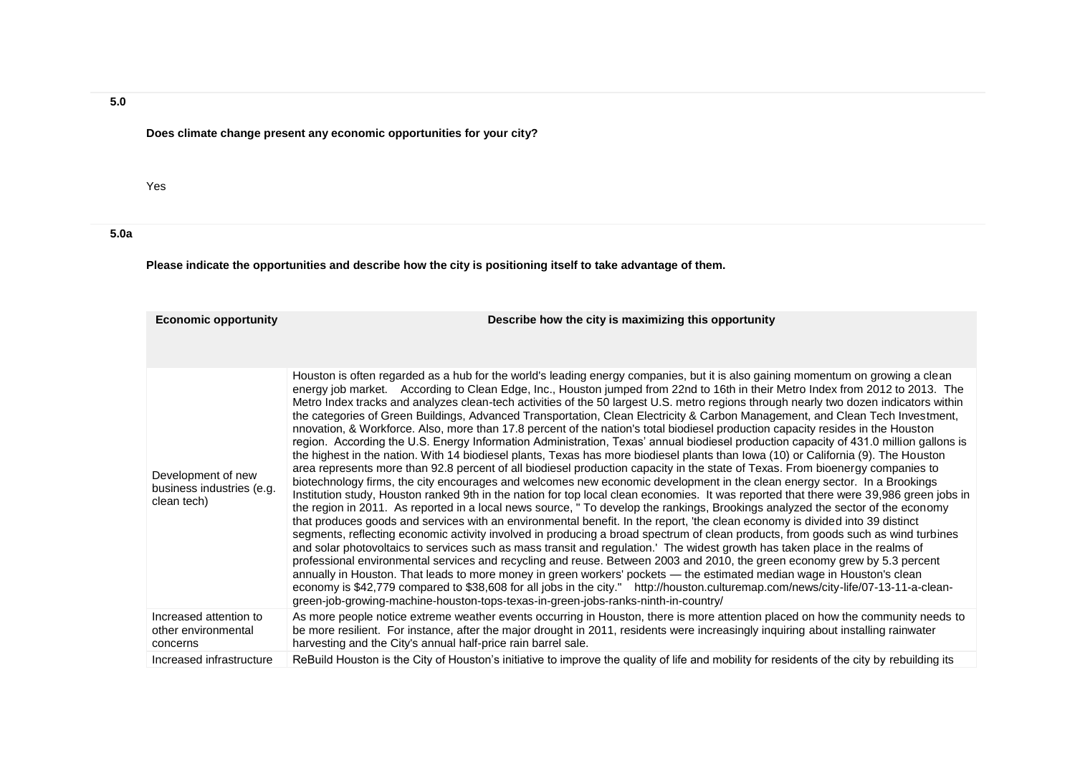# **Does climate change present any economic opportunities for your city?**

#### Yes

# **5.0a**

**Please indicate the opportunities and describe how the city is positioning itself to take advantage of them.**

| <b>Economic opportunity</b>                                    | Describe how the city is maximizing this opportunity                                                                                                                                                                                                                                                                                                                                                                                                                                                                                                                                                                                                                                                                                                                                                                                                                                                                                                                                                                                                                                                                                                                                                                                                                                                                                                                                                                                                                                                                                                                                                                                                                                                                                                                                                                                                                                                                                                                                                                                                                                                                                                                                                                                                                                                                                                                                               |
|----------------------------------------------------------------|----------------------------------------------------------------------------------------------------------------------------------------------------------------------------------------------------------------------------------------------------------------------------------------------------------------------------------------------------------------------------------------------------------------------------------------------------------------------------------------------------------------------------------------------------------------------------------------------------------------------------------------------------------------------------------------------------------------------------------------------------------------------------------------------------------------------------------------------------------------------------------------------------------------------------------------------------------------------------------------------------------------------------------------------------------------------------------------------------------------------------------------------------------------------------------------------------------------------------------------------------------------------------------------------------------------------------------------------------------------------------------------------------------------------------------------------------------------------------------------------------------------------------------------------------------------------------------------------------------------------------------------------------------------------------------------------------------------------------------------------------------------------------------------------------------------------------------------------------------------------------------------------------------------------------------------------------------------------------------------------------------------------------------------------------------------------------------------------------------------------------------------------------------------------------------------------------------------------------------------------------------------------------------------------------------------------------------------------------------------------------------------------------|
|                                                                |                                                                                                                                                                                                                                                                                                                                                                                                                                                                                                                                                                                                                                                                                                                                                                                                                                                                                                                                                                                                                                                                                                                                                                                                                                                                                                                                                                                                                                                                                                                                                                                                                                                                                                                                                                                                                                                                                                                                                                                                                                                                                                                                                                                                                                                                                                                                                                                                    |
| Development of new<br>business industries (e.g.<br>clean tech) | Houston is often regarded as a hub for the world's leading energy companies, but it is also gaining momentum on growing a clean<br>energy job market. According to Clean Edge, Inc., Houston jumped from 22nd to 16th in their Metro Index from 2012 to 2013. The<br>Metro Index tracks and analyzes clean-tech activities of the 50 largest U.S. metro regions through nearly two dozen indicators within<br>the categories of Green Buildings, Advanced Transportation, Clean Electricity & Carbon Management, and Clean Tech Investment,<br>nnovation, & Workforce. Also, more than 17.8 percent of the nation's total biodiesel production capacity resides in the Houston<br>region. According the U.S. Energy Information Administration, Texas' annual biodiesel production capacity of 431.0 million gallons is<br>the highest in the nation. With 14 biodiesel plants, Texas has more biodiesel plants than lowa (10) or California (9). The Houston<br>area represents more than 92.8 percent of all biodiesel production capacity in the state of Texas. From bioenergy companies to<br>biotechnology firms, the city encourages and welcomes new economic development in the clean energy sector. In a Brookings<br>Institution study, Houston ranked 9th in the nation for top local clean economies. It was reported that there were 39,986 green jobs in<br>the region in 2011. As reported in a local news source, " To develop the rankings, Brookings analyzed the sector of the economy<br>that produces goods and services with an environmental benefit. In the report, 'the clean economy is divided into 39 distinct<br>segments, reflecting economic activity involved in producing a broad spectrum of clean products, from goods such as wind turbines<br>and solar photovoltaics to services such as mass transit and regulation. The widest growth has taken place in the realms of<br>professional environmental services and recycling and reuse. Between 2003 and 2010, the green economy grew by 5.3 percent<br>annually in Houston. That leads to more money in green workers' pockets - the estimated median wage in Houston's clean<br>economy is \$42,779 compared to \$38,608 for all jobs in the city." http://houston.culturemap.com/news/city-life/07-13-11-a-clean-<br>green-job-growing-machine-houston-tops-texas-in-green-jobs-ranks-ninth-in-country/ |
| Increased attention to<br>other environmental<br>concerns      | As more people notice extreme weather events occurring in Houston, there is more attention placed on how the community needs to<br>be more resilient. For instance, after the major drought in 2011, residents were increasingly inquiring about installing rainwater<br>harvesting and the City's annual half-price rain barrel sale.                                                                                                                                                                                                                                                                                                                                                                                                                                                                                                                                                                                                                                                                                                                                                                                                                                                                                                                                                                                                                                                                                                                                                                                                                                                                                                                                                                                                                                                                                                                                                                                                                                                                                                                                                                                                                                                                                                                                                                                                                                                             |
| Increased infrastructure                                       | ReBuild Houston is the City of Houston's initiative to improve the quality of life and mobility for residents of the city by rebuilding its                                                                                                                                                                                                                                                                                                                                                                                                                                                                                                                                                                                                                                                                                                                                                                                                                                                                                                                                                                                                                                                                                                                                                                                                                                                                                                                                                                                                                                                                                                                                                                                                                                                                                                                                                                                                                                                                                                                                                                                                                                                                                                                                                                                                                                                        |

**5.0**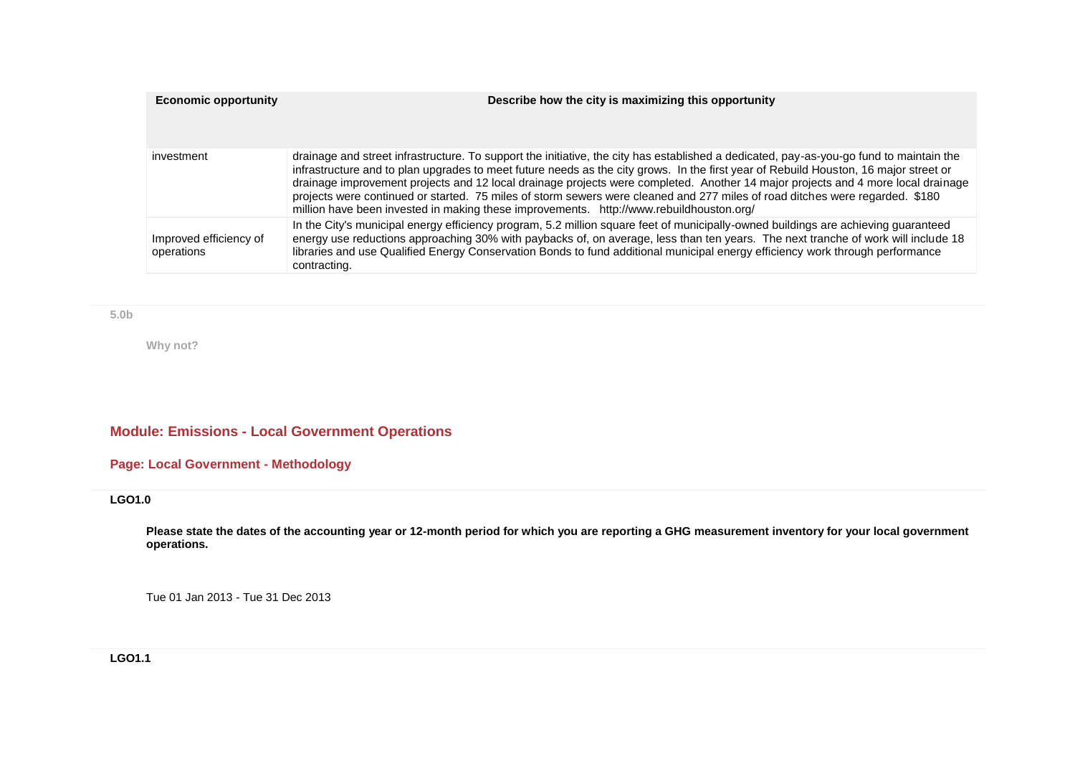| <b>Economic opportunity</b>          | Describe how the city is maximizing this opportunity                                                                                                                                                                                                                                                                                                                                                                                                                                                                                                                                                                                           |
|--------------------------------------|------------------------------------------------------------------------------------------------------------------------------------------------------------------------------------------------------------------------------------------------------------------------------------------------------------------------------------------------------------------------------------------------------------------------------------------------------------------------------------------------------------------------------------------------------------------------------------------------------------------------------------------------|
| investment                           | drainage and street infrastructure. To support the initiative, the city has established a dedicated, pay-as-you-go fund to maintain the<br>infrastructure and to plan upgrades to meet future needs as the city grows. In the first year of Rebuild Houston, 16 major street or<br>drainage improvement projects and 12 local drainage projects were completed. Another 14 major projects and 4 more local drainage<br>projects were continued or started. 75 miles of storm sewers were cleaned and 277 miles of road ditches were regarded. \$180<br>million have been invested in making these improvements. http://www.rebuildhouston.org/ |
| Improved efficiency of<br>operations | In the City's municipal energy efficiency program, 5.2 million square feet of municipally-owned buildings are achieving guaranteed<br>energy use reductions approaching 30% with paybacks of, on average, less than ten years. The next tranche of work will include 18<br>libraries and use Qualified Energy Conservation Bonds to fund additional municipal energy efficiency work through performance<br>contracting.                                                                                                                                                                                                                       |

**5.0b**

**Why not?**

# **Module: Emissions - Local Government Operations**

# **Page: Local Government - Methodology**

**LGO1.0**

**Please state the dates of the accounting year or 12-month period for which you are reporting a GHG measurement inventory for your local government operations.**

Tue 01 Jan 2013 - Tue 31 Dec 2013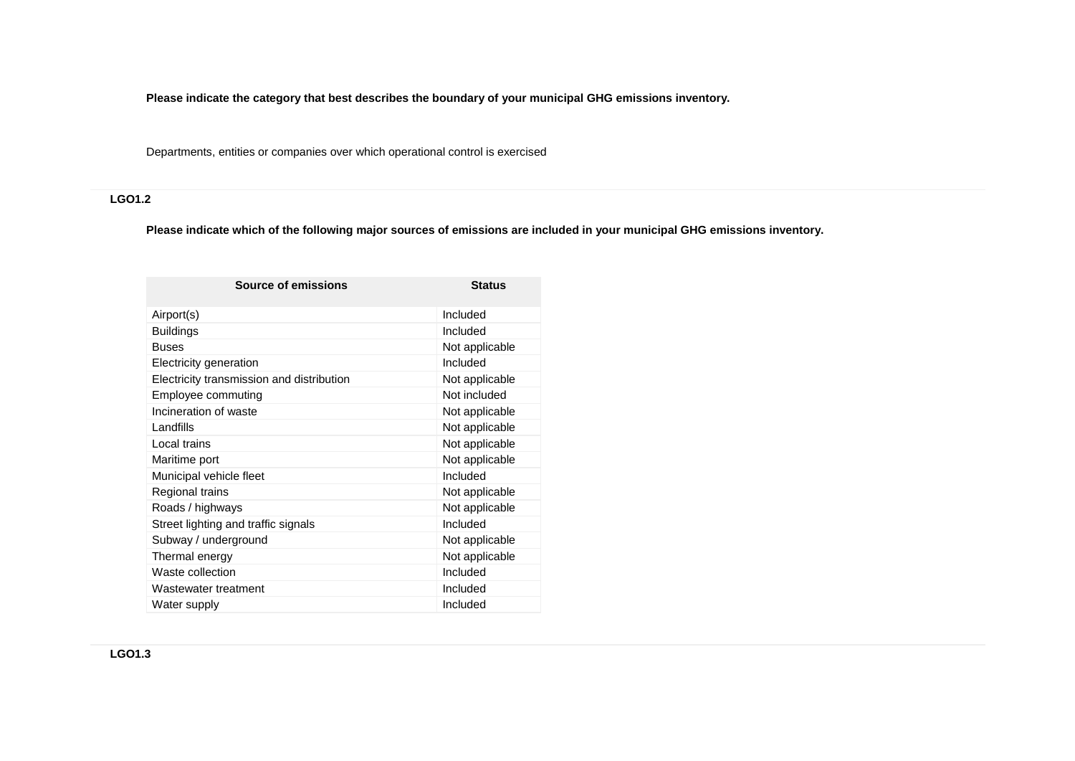**Please indicate the category that best describes the boundary of your municipal GHG emissions inventory.**

Departments, entities or companies over which operational control is exercised

# **LGO1.2**

**Please indicate which of the following major sources of emissions are included in your municipal GHG emissions inventory.**

| Source of emissions                       | <b>Status</b>  |
|-------------------------------------------|----------------|
| Airport(s)                                | Included       |
| <b>Buildings</b>                          | Included       |
| <b>Buses</b>                              | Not applicable |
| Electricity generation                    | Included       |
| Electricity transmission and distribution | Not applicable |
| Employee commuting                        | Not included   |
| Incineration of waste                     | Not applicable |
| Landfills                                 | Not applicable |
| Local trains                              | Not applicable |
| Maritime port                             | Not applicable |
| Municipal vehicle fleet                   | Included       |
| Regional trains                           | Not applicable |
| Roads / highways                          | Not applicable |
| Street lighting and traffic signals       | Included       |
| Subway / underground                      | Not applicable |
| Thermal energy                            | Not applicable |
| Waste collection                          | Included       |
| Wastewater treatment                      | Included       |
| Water supply                              | Included       |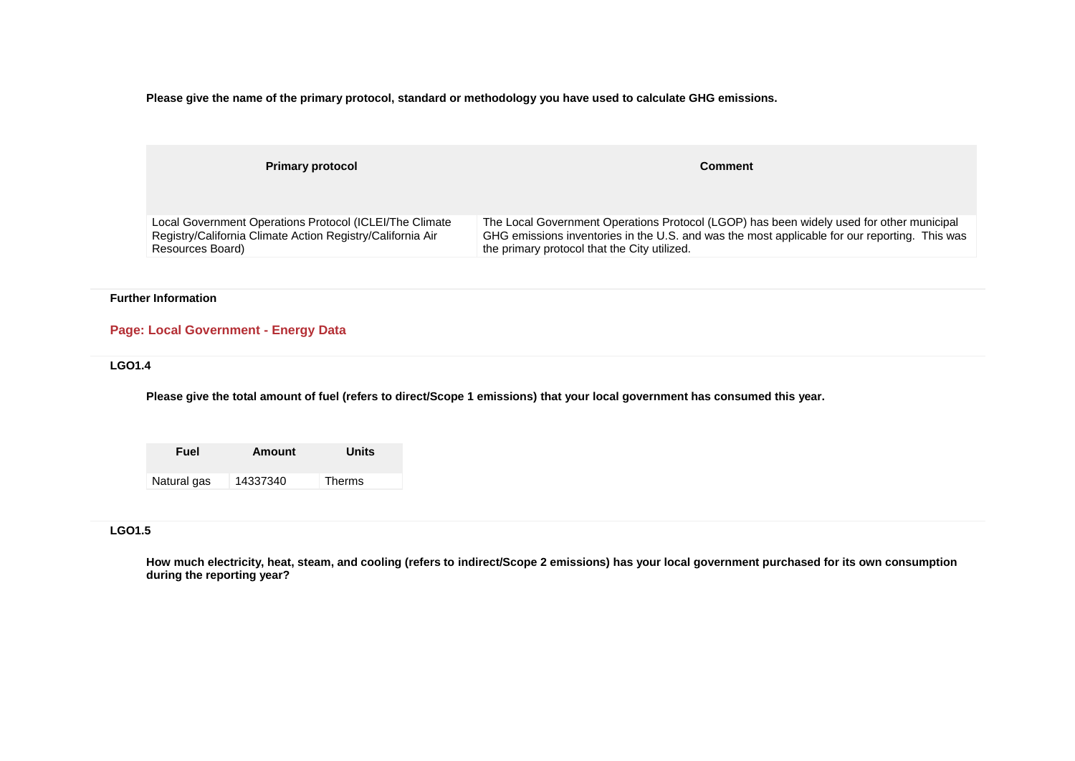**Please give the name of the primary protocol, standard or methodology you have used to calculate GHG emissions.**

| <b>Primary protocol</b>                                    | <b>Comment</b>                                                                                |
|------------------------------------------------------------|-----------------------------------------------------------------------------------------------|
| Local Government Operations Protocol (ICLEI/The Climate    | The Local Government Operations Protocol (LGOP) has been widely used for other municipal      |
| Registry/California Climate Action Registry/California Air | GHG emissions inventories in the U.S. and was the most applicable for our reporting. This was |
| Resources Board)                                           | the primary protocol that the City utilized.                                                  |

#### **Further Information**

# **Page: Local Government - Energy Data**

#### **LGO1.4**

**Please give the total amount of fuel (refers to direct/Scope 1 emissions) that your local government has consumed this year.**

**Fuel Amount Units** Natural gas 14337340 Therms

#### **LGO1.5**

**How much electricity, heat, steam, and cooling (refers to indirect/Scope 2 emissions) has your local government purchased for its own consumption during the reporting year?**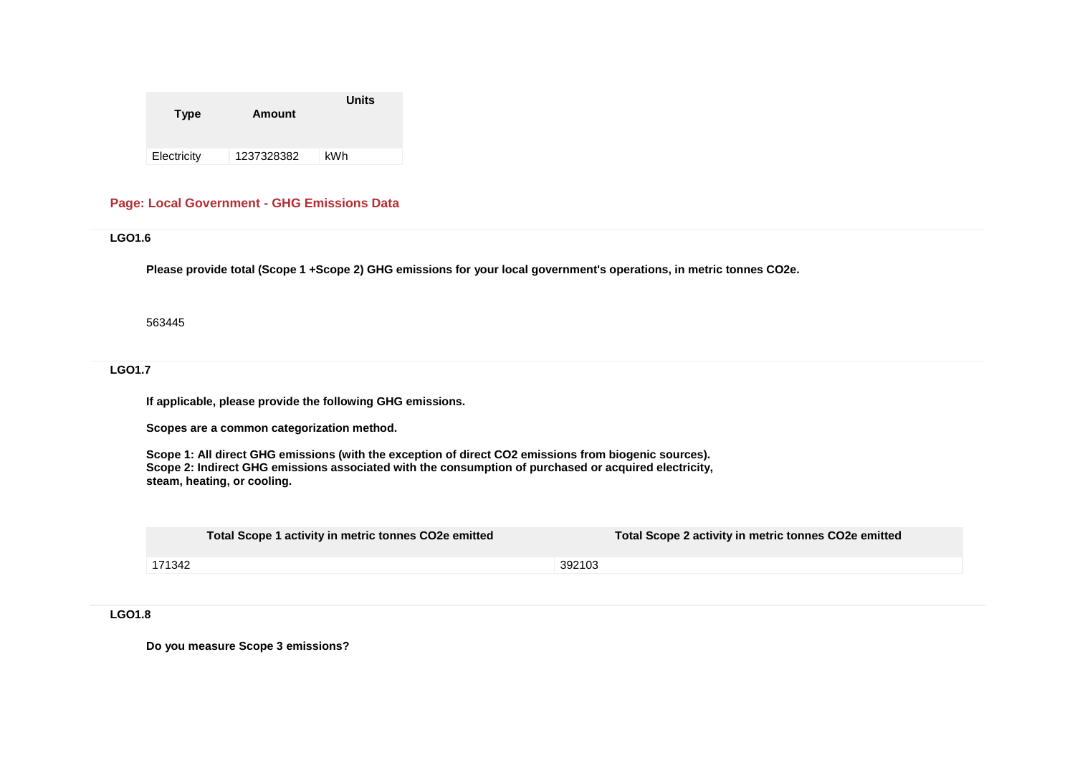| <b>Type</b> | Amount     | <b>Units</b> |
|-------------|------------|--------------|
| Electricity | 1237328382 | kWh          |

#### **Page: Local Government - GHG Emissions Data**

**LGO1.6**

**Please provide total (Scope 1 +Scope 2) GHG emissions for your local government's operations, in metric tonnes CO2e.**

563445

**LGO1.7**

**If applicable, please provide the following GHG emissions.**

**Scopes are a common categorization method.**

**Scope 1: All direct GHG emissions (with the exception of direct CO2 emissions from biogenic sources). Scope 2: Indirect GHG emissions associated with the consumption of purchased or acquired electricity, steam, heating, or cooling.**

|        | Total Scope 1 activity in metric tonnes CO2e emitted | Total Scope 2 activity in metric tonnes CO2e emitted |
|--------|------------------------------------------------------|------------------------------------------------------|
| 171342 |                                                      | 392103                                               |

**LGO1.8**

**Do you measure Scope 3 emissions?**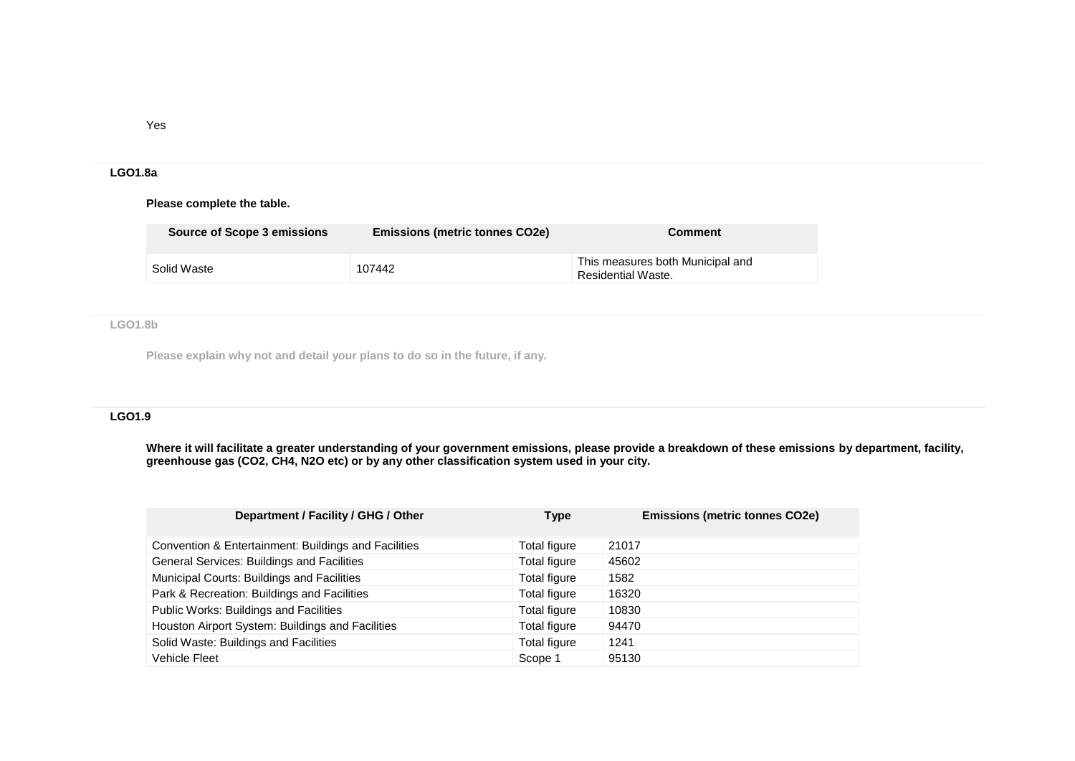Yes

#### **LGO1.8a**

#### **Please complete the table.**

| Source of Scope 3 emissions | <b>Emissions (metric tonnes CO2e)</b> | <b>Comment</b>                                         |
|-----------------------------|---------------------------------------|--------------------------------------------------------|
| Solid Waste                 | 107442                                | This measures both Municipal and<br>Residential Waste. |

# **LGO1.8b**

**Please explain why not and detail your plans to do so in the future, if any.** 

# **LGO1.9**

**Where it will facilitate a greater understanding of your government emissions, please provide a breakdown of these emissions by department, facility, greenhouse gas (CO2, CH4, N2O etc) or by any other classification system used in your city.**

| Department / Facility / GHG / Other                  | Type         | <b>Emissions (metric tonnes CO2e)</b> |
|------------------------------------------------------|--------------|---------------------------------------|
| Convention & Entertainment: Buildings and Facilities | Total figure | 21017                                 |
| General Services: Buildings and Facilities           | Total figure | 45602                                 |
| Municipal Courts: Buildings and Facilities           | Total figure | 1582                                  |
| Park & Recreation: Buildings and Facilities          | Total figure | 16320                                 |
| Public Works: Buildings and Facilities               | Total figure | 10830                                 |
| Houston Airport System: Buildings and Facilities     | Total figure | 94470                                 |
| Solid Waste: Buildings and Facilities                | Total figure | 1241                                  |
| Vehicle Fleet                                        | Scope 1      | 95130                                 |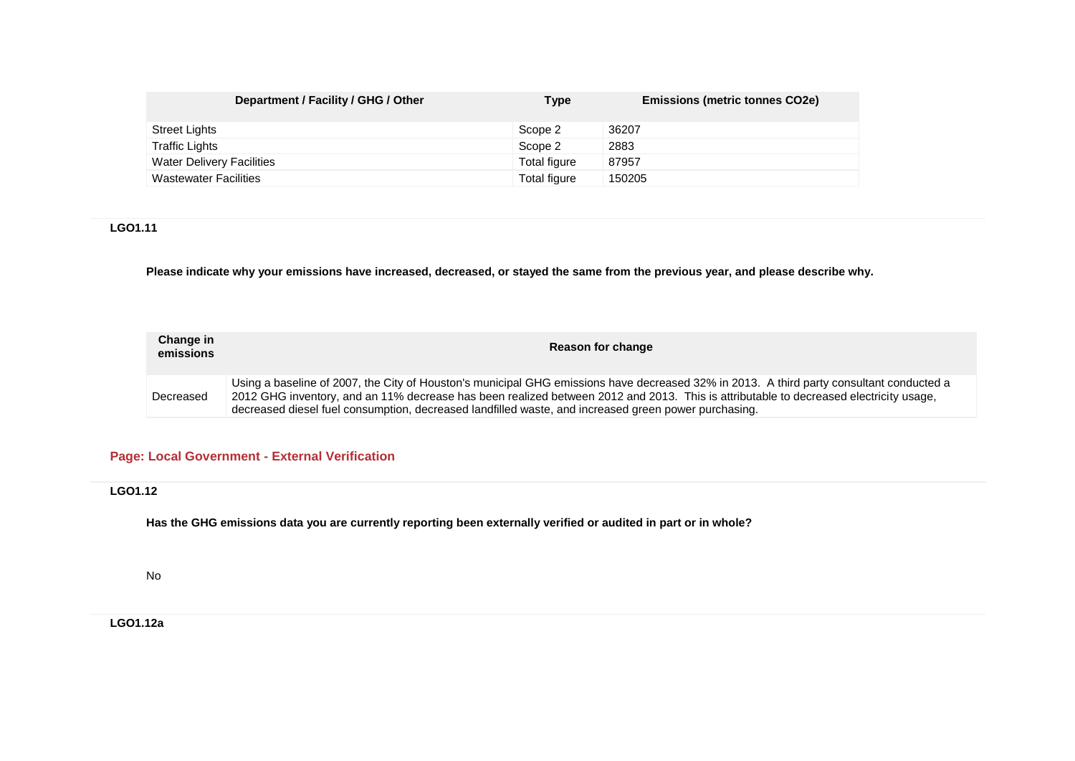| Department / Facility / GHG / Other | Type         | <b>Emissions (metric tonnes CO2e)</b> |
|-------------------------------------|--------------|---------------------------------------|
| <b>Street Lights</b>                | Scope 2      | 36207                                 |
| Traffic Lights                      | Scope 2      | 2883                                  |
| <b>Water Delivery Facilities</b>    | Total figure | 87957                                 |
| <b>Wastewater Facilities</b>        | Total figure | 150205                                |

# **LGO1.11**

**Please indicate why your emissions have increased, decreased, or stayed the same from the previous year, and please describe why.**

| Change in<br>emissions | Reason for change                                                                                                                                                                                                                                                                                                                                                                         |
|------------------------|-------------------------------------------------------------------------------------------------------------------------------------------------------------------------------------------------------------------------------------------------------------------------------------------------------------------------------------------------------------------------------------------|
| Decreased              | Using a baseline of 2007, the City of Houston's municipal GHG emissions have decreased 32% in 2013. A third party consultant conducted a<br>2012 GHG inventory, and an 11% decrease has been realized between 2012 and 2013. This is attributable to decreased electricity usage,<br>decreased diesel fuel consumption, decreased landfilled waste, and increased green power purchasing. |

# **Page: Local Government - External Verification**

**LGO1.12**

**Has the GHG emissions data you are currently reporting been externally verified or audited in part or in whole?**

No

**LGO1.12a**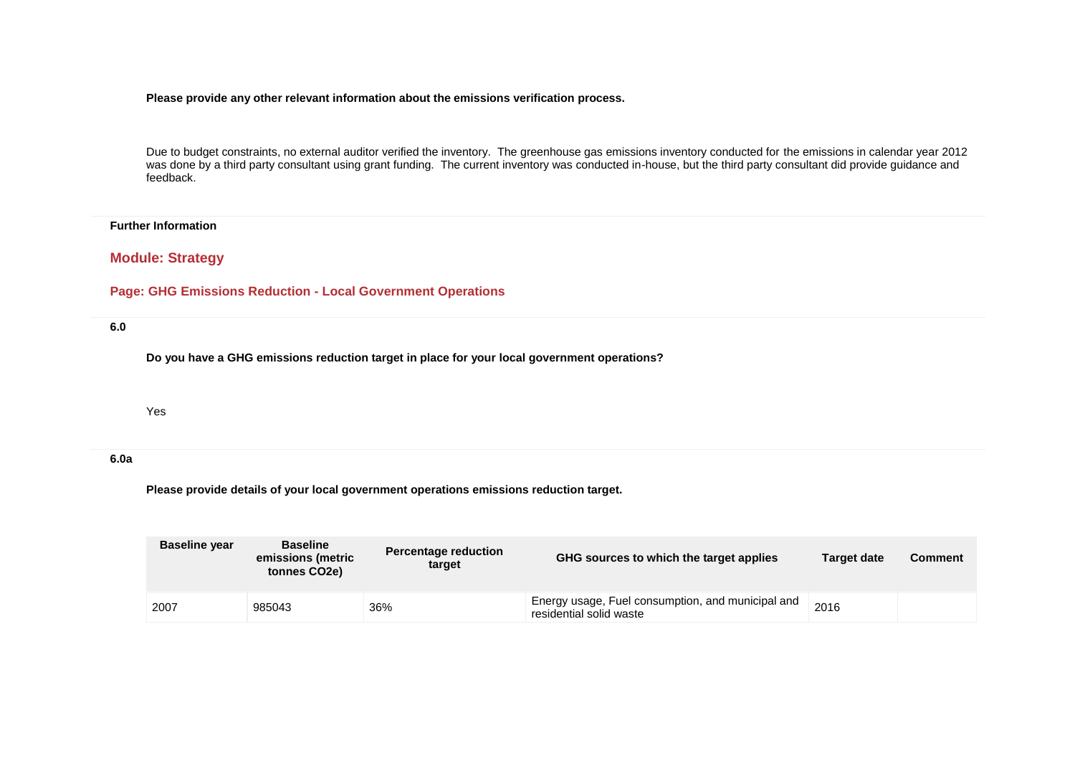#### **Please provide any other relevant information about the emissions verification process.**

Due to budget constraints, no external auditor verified the inventory. The greenhouse gas emissions inventory conducted for the emissions in calendar year 2012 was done by a third party consultant using grant funding. The current inventory was conducted in-house, but the third party consultant did provide guidance and feedback.

#### **Further Information**

# **Module: Strategy**

#### **Page: GHG Emissions Reduction - Local Government Operations**

**6.0**

**Do you have a GHG emissions reduction target in place for your local government operations?** 

Yes

#### **6.0a**

**Please provide details of your local government operations emissions reduction target.**

| <b>Baseline year</b> | <b>Baseline</b><br>emissions (metric<br>tonnes CO2e) | <b>Percentage reduction</b><br>target | GHG sources to which the target applies                                      | Target date | <b>Comment</b> |
|----------------------|------------------------------------------------------|---------------------------------------|------------------------------------------------------------------------------|-------------|----------------|
| 2007                 | 985043                                               | 36%                                   | Energy usage, Fuel consumption, and municipal and<br>residential solid waste | 2016        |                |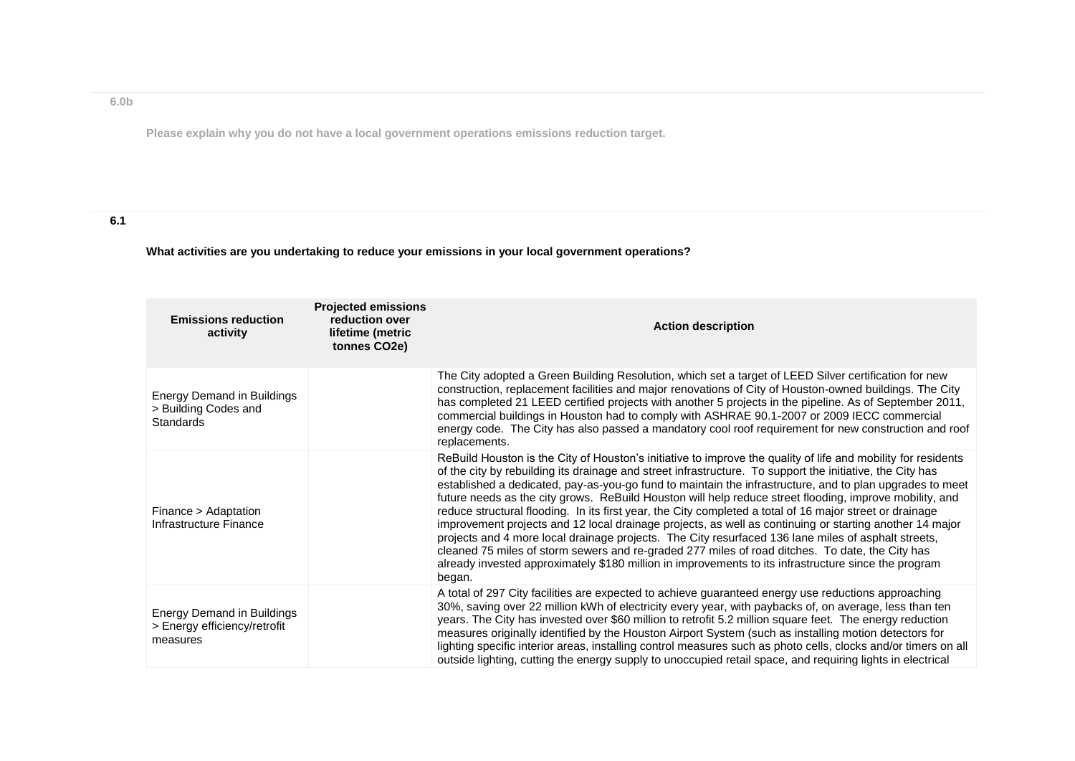# **6.0b**

**Please explain why you do not have a local government operations emissions reduction target.**

# **6.1**

# **What activities are you undertaking to reduce your emissions in your local government operations?**

| <b>Emissions reduction</b><br>activity                                        | <b>Projected emissions</b><br>reduction over<br>lifetime (metric<br>tonnes CO2e) | <b>Action description</b>                                                                                                                                                                                                                                                                                                                                                                                                                                                                                                                                                                                                                                                                                                                                                                                                                                                                                                                                                                            |
|-------------------------------------------------------------------------------|----------------------------------------------------------------------------------|------------------------------------------------------------------------------------------------------------------------------------------------------------------------------------------------------------------------------------------------------------------------------------------------------------------------------------------------------------------------------------------------------------------------------------------------------------------------------------------------------------------------------------------------------------------------------------------------------------------------------------------------------------------------------------------------------------------------------------------------------------------------------------------------------------------------------------------------------------------------------------------------------------------------------------------------------------------------------------------------------|
| <b>Energy Demand in Buildings</b><br>> Building Codes and<br>Standards        |                                                                                  | The City adopted a Green Building Resolution, which set a target of LEED Silver certification for new<br>construction, replacement facilities and major renovations of City of Houston-owned buildings. The City<br>has completed 21 LEED certified projects with another 5 projects in the pipeline. As of September 2011,<br>commercial buildings in Houston had to comply with ASHRAE 90.1-2007 or 2009 IECC commercial<br>energy code. The City has also passed a mandatory cool roof requirement for new construction and roof<br>replacements.                                                                                                                                                                                                                                                                                                                                                                                                                                                 |
| Finance > Adaptation<br>Infrastructure Finance                                |                                                                                  | ReBuild Houston is the City of Houston's initiative to improve the quality of life and mobility for residents<br>of the city by rebuilding its drainage and street infrastructure. To support the initiative, the City has<br>established a dedicated, pay-as-you-go fund to maintain the infrastructure, and to plan upgrades to meet<br>future needs as the city grows. ReBuild Houston will help reduce street flooding, improve mobility, and<br>reduce structural flooding. In its first year, the City completed a total of 16 major street or drainage<br>improvement projects and 12 local drainage projects, as well as continuing or starting another 14 major<br>projects and 4 more local drainage projects. The City resurfaced 136 lane miles of asphalt streets,<br>cleaned 75 miles of storm sewers and re-graded 277 miles of road ditches. To date, the City has<br>already invested approximately \$180 million in improvements to its infrastructure since the program<br>began. |
| <b>Energy Demand in Buildings</b><br>> Energy efficiency/retrofit<br>measures |                                                                                  | A total of 297 City facilities are expected to achieve guaranteed energy use reductions approaching<br>30%, saving over 22 million kWh of electricity every year, with paybacks of, on average, less than ten<br>years. The City has invested over \$60 million to retrofit 5.2 million square feet. The energy reduction<br>measures originally identified by the Houston Airport System (such as installing motion detectors for<br>lighting specific interior areas, installing control measures such as photo cells, clocks and/or timers on all<br>outside lighting, cutting the energy supply to unoccupied retail space, and requiring lights in electrical                                                                                                                                                                                                                                                                                                                                   |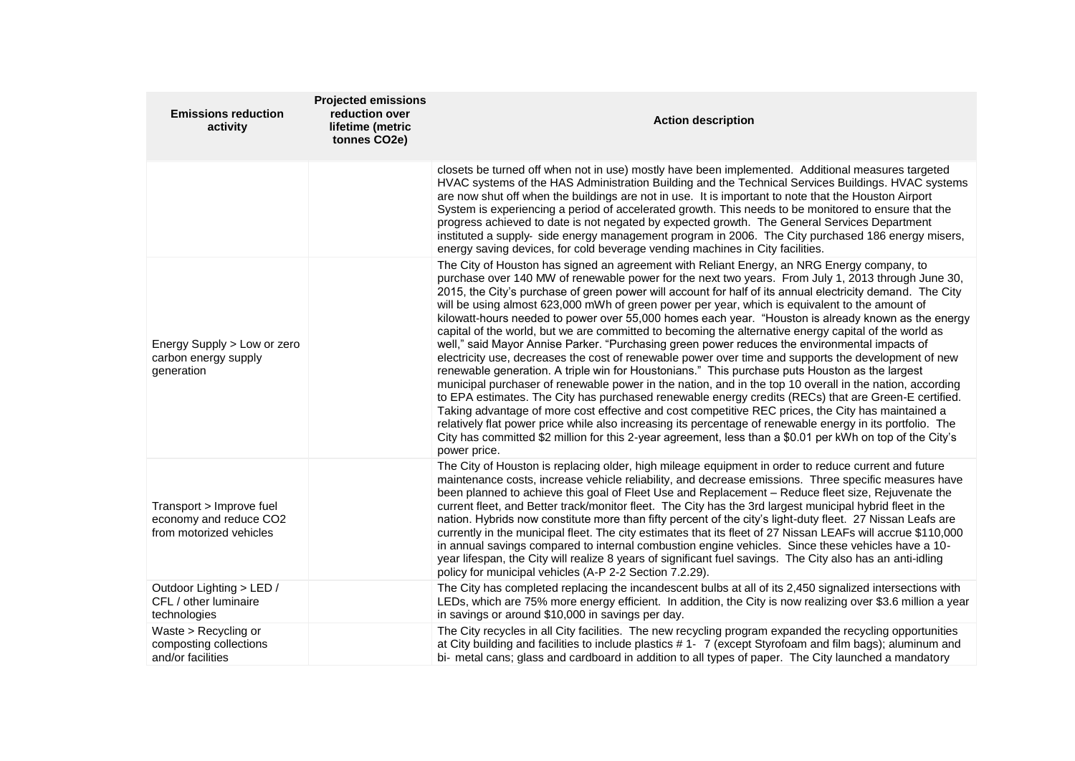| <b>Emissions reduction</b><br>activity                                        | <b>Projected emissions</b><br>reduction over<br>lifetime (metric<br>tonnes CO2e) | <b>Action description</b>                                                                                                                                                                                                                                                                                                                                                                                                                                                                                                                                                                                                                                                                                                                                                                                                                                                                                                                                                                                                                                                                                                                                                                                                                                                                                                                                                                                                                                                                                       |
|-------------------------------------------------------------------------------|----------------------------------------------------------------------------------|-----------------------------------------------------------------------------------------------------------------------------------------------------------------------------------------------------------------------------------------------------------------------------------------------------------------------------------------------------------------------------------------------------------------------------------------------------------------------------------------------------------------------------------------------------------------------------------------------------------------------------------------------------------------------------------------------------------------------------------------------------------------------------------------------------------------------------------------------------------------------------------------------------------------------------------------------------------------------------------------------------------------------------------------------------------------------------------------------------------------------------------------------------------------------------------------------------------------------------------------------------------------------------------------------------------------------------------------------------------------------------------------------------------------------------------------------------------------------------------------------------------------|
|                                                                               |                                                                                  | closets be turned off when not in use) mostly have been implemented. Additional measures targeted<br>HVAC systems of the HAS Administration Building and the Technical Services Buildings. HVAC systems<br>are now shut off when the buildings are not in use. It is important to note that the Houston Airport<br>System is experiencing a period of accelerated growth. This needs to be monitored to ensure that the<br>progress achieved to date is not negated by expected growth. The General Services Department<br>instituted a supply- side energy management program in 2006. The City purchased 186 energy misers,<br>energy saving devices, for cold beverage vending machines in City facilities.                                                                                                                                                                                                                                                                                                                                                                                                                                                                                                                                                                                                                                                                                                                                                                                                  |
| Energy Supply > Low or zero<br>carbon energy supply<br>generation             |                                                                                  | The City of Houston has signed an agreement with Reliant Energy, an NRG Energy company, to<br>purchase over 140 MW of renewable power for the next two years. From July 1, 2013 through June 30,<br>2015, the City's purchase of green power will account for half of its annual electricity demand. The City<br>will be using almost 623,000 mWh of green power per year, which is equivalent to the amount of<br>kilowatt-hours needed to power over 55,000 homes each year. "Houston is already known as the energy<br>capital of the world, but we are committed to becoming the alternative energy capital of the world as<br>well," said Mayor Annise Parker. "Purchasing green power reduces the environmental impacts of<br>electricity use, decreases the cost of renewable power over time and supports the development of new<br>renewable generation. A triple win for Houstonians." This purchase puts Houston as the largest<br>municipal purchaser of renewable power in the nation, and in the top 10 overall in the nation, according<br>to EPA estimates. The City has purchased renewable energy credits (RECs) that are Green-E certified.<br>Taking advantage of more cost effective and cost competitive REC prices, the City has maintained a<br>relatively flat power price while also increasing its percentage of renewable energy in its portfolio. The<br>City has committed \$2 million for this 2-year agreement, less than a \$0.01 per kWh on top of the City's<br>power price. |
| Transport > Improve fuel<br>economy and reduce CO2<br>from motorized vehicles |                                                                                  | The City of Houston is replacing older, high mileage equipment in order to reduce current and future<br>maintenance costs, increase vehicle reliability, and decrease emissions. Three specific measures have<br>been planned to achieve this goal of Fleet Use and Replacement – Reduce fleet size, Rejuvenate the<br>current fleet, and Better track/monitor fleet. The City has the 3rd largest municipal hybrid fleet in the<br>nation. Hybrids now constitute more than fifty percent of the city's light-duty fleet. 27 Nissan Leafs are<br>currently in the municipal fleet. The city estimates that its fleet of 27 Nissan LEAFs will accrue \$110,000<br>in annual savings compared to internal combustion engine vehicles. Since these vehicles have a 10-<br>year lifespan, the City will realize 8 years of significant fuel savings. The City also has an anti-idling<br>policy for municipal vehicles (A-P 2-2 Section 7.2.29).                                                                                                                                                                                                                                                                                                                                                                                                                                                                                                                                                                   |
| Outdoor Lighting > LED /<br>CFL / other luminaire<br>technologies             |                                                                                  | The City has completed replacing the incandescent bulbs at all of its 2,450 signalized intersections with<br>LEDs, which are 75% more energy efficient. In addition, the City is now realizing over \$3.6 million a year<br>in savings or around \$10,000 in savings per day.                                                                                                                                                                                                                                                                                                                                                                                                                                                                                                                                                                                                                                                                                                                                                                                                                                                                                                                                                                                                                                                                                                                                                                                                                                   |
| Waste > Recycling or<br>composting collections<br>and/or facilities           |                                                                                  | The City recycles in all City facilities. The new recycling program expanded the recycling opportunities<br>at City building and facilities to include plastics #1- 7 (except Styrofoam and film bags); aluminum and<br>bi- metal cans; glass and cardboard in addition to all types of paper. The City launched a mandatory                                                                                                                                                                                                                                                                                                                                                                                                                                                                                                                                                                                                                                                                                                                                                                                                                                                                                                                                                                                                                                                                                                                                                                                    |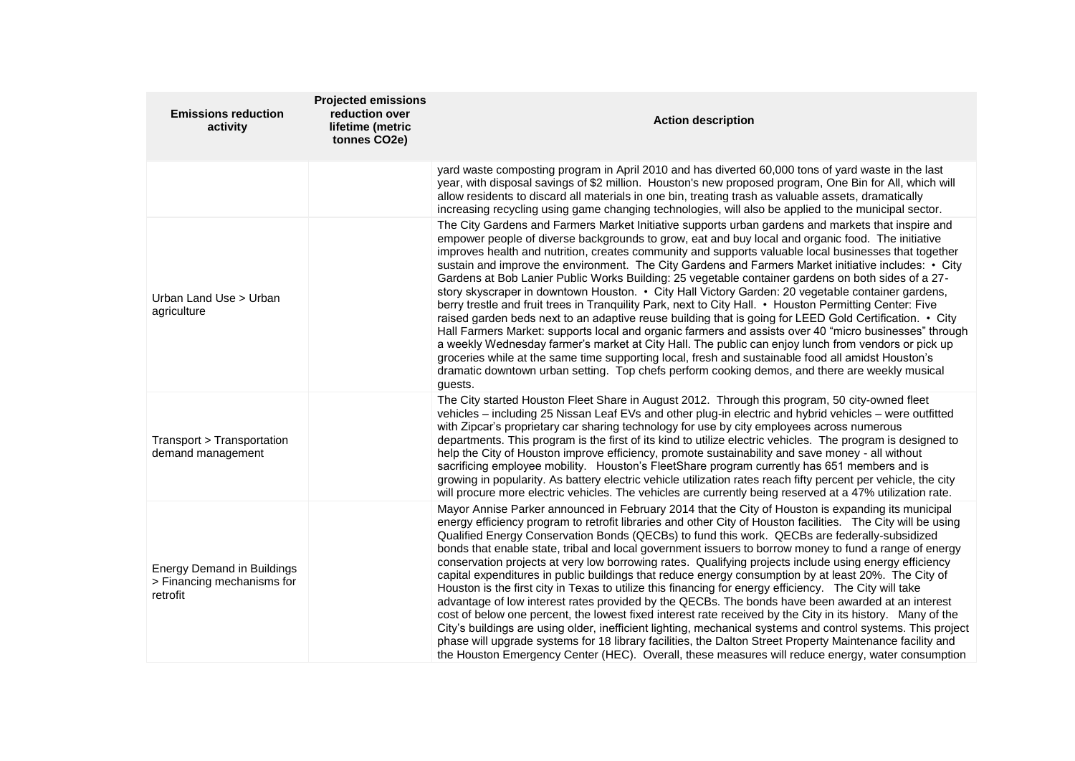| <b>Emissions reduction</b><br>activity                                      | <b>Projected emissions</b><br>reduction over<br>lifetime (metric<br>tonnes CO2e) | <b>Action description</b>                                                                                                                                                                                                                                                                                                                                                                                                                                                                                                                                                                                                                                                                                                                                                                                                                                                                                                                                                                                                                                                                                                                                                                                                                                                                                      |
|-----------------------------------------------------------------------------|----------------------------------------------------------------------------------|----------------------------------------------------------------------------------------------------------------------------------------------------------------------------------------------------------------------------------------------------------------------------------------------------------------------------------------------------------------------------------------------------------------------------------------------------------------------------------------------------------------------------------------------------------------------------------------------------------------------------------------------------------------------------------------------------------------------------------------------------------------------------------------------------------------------------------------------------------------------------------------------------------------------------------------------------------------------------------------------------------------------------------------------------------------------------------------------------------------------------------------------------------------------------------------------------------------------------------------------------------------------------------------------------------------|
|                                                                             |                                                                                  | yard waste composting program in April 2010 and has diverted 60,000 tons of yard waste in the last<br>year, with disposal savings of \$2 million. Houston's new proposed program, One Bin for All, which will<br>allow residents to discard all materials in one bin, treating trash as valuable assets, dramatically<br>increasing recycling using game changing technologies, will also be applied to the municipal sector.                                                                                                                                                                                                                                                                                                                                                                                                                                                                                                                                                                                                                                                                                                                                                                                                                                                                                  |
| Urban Land Use > Urban<br>agriculture                                       |                                                                                  | The City Gardens and Farmers Market Initiative supports urban gardens and markets that inspire and<br>empower people of diverse backgrounds to grow, eat and buy local and organic food. The initiative<br>improves health and nutrition, creates community and supports valuable local businesses that together<br>sustain and improve the environment. The City Gardens and Farmers Market initiative includes: • City<br>Gardens at Bob Lanier Public Works Building: 25 vegetable container gardens on both sides of a 27-<br>story skyscraper in downtown Houston. • City Hall Victory Garden: 20 vegetable container gardens,<br>berry trestle and fruit trees in Tranquility Park, next to City Hall. • Houston Permitting Center: Five<br>raised garden beds next to an adaptive reuse building that is going for LEED Gold Certification. • City<br>Hall Farmers Market: supports local and organic farmers and assists over 40 "micro businesses" through<br>a weekly Wednesday farmer's market at City Hall. The public can enjoy lunch from vendors or pick up<br>groceries while at the same time supporting local, fresh and sustainable food all amidst Houston's<br>dramatic downtown urban setting. Top chefs perform cooking demos, and there are weekly musical<br>quests.                  |
| Transport > Transportation<br>demand management                             |                                                                                  | The City started Houston Fleet Share in August 2012. Through this program, 50 city-owned fleet<br>vehicles - including 25 Nissan Leaf EVs and other plug-in electric and hybrid vehicles - were outfitted<br>with Zipcar's proprietary car sharing technology for use by city employees across numerous<br>departments. This program is the first of its kind to utilize electric vehicles. The program is designed to<br>help the City of Houston improve efficiency, promote sustainability and save money - all without<br>sacrificing employee mobility. Houston's FleetShare program currently has 651 members and is<br>growing in popularity. As battery electric vehicle utilization rates reach fifty percent per vehicle, the city<br>will procure more electric vehicles. The vehicles are currently being reserved at a 47% utilization rate.                                                                                                                                                                                                                                                                                                                                                                                                                                                      |
| <b>Energy Demand in Buildings</b><br>> Financing mechanisms for<br>retrofit |                                                                                  | Mayor Annise Parker announced in February 2014 that the City of Houston is expanding its municipal<br>energy efficiency program to retrofit libraries and other City of Houston facilities. The City will be using<br>Qualified Energy Conservation Bonds (QECBs) to fund this work. QECBs are federally-subsidized<br>bonds that enable state, tribal and local government issuers to borrow money to fund a range of energy<br>conservation projects at very low borrowing rates. Qualifying projects include using energy efficiency<br>capital expenditures in public buildings that reduce energy consumption by at least 20%. The City of<br>Houston is the first city in Texas to utilize this financing for energy efficiency. The City will take<br>advantage of low interest rates provided by the QECBs. The bonds have been awarded at an interest<br>cost of below one percent, the lowest fixed interest rate received by the City in its history. Many of the<br>City's buildings are using older, inefficient lighting, mechanical systems and control systems. This project<br>phase will upgrade systems for 18 library facilities, the Dalton Street Property Maintenance facility and<br>the Houston Emergency Center (HEC). Overall, these measures will reduce energy, water consumption |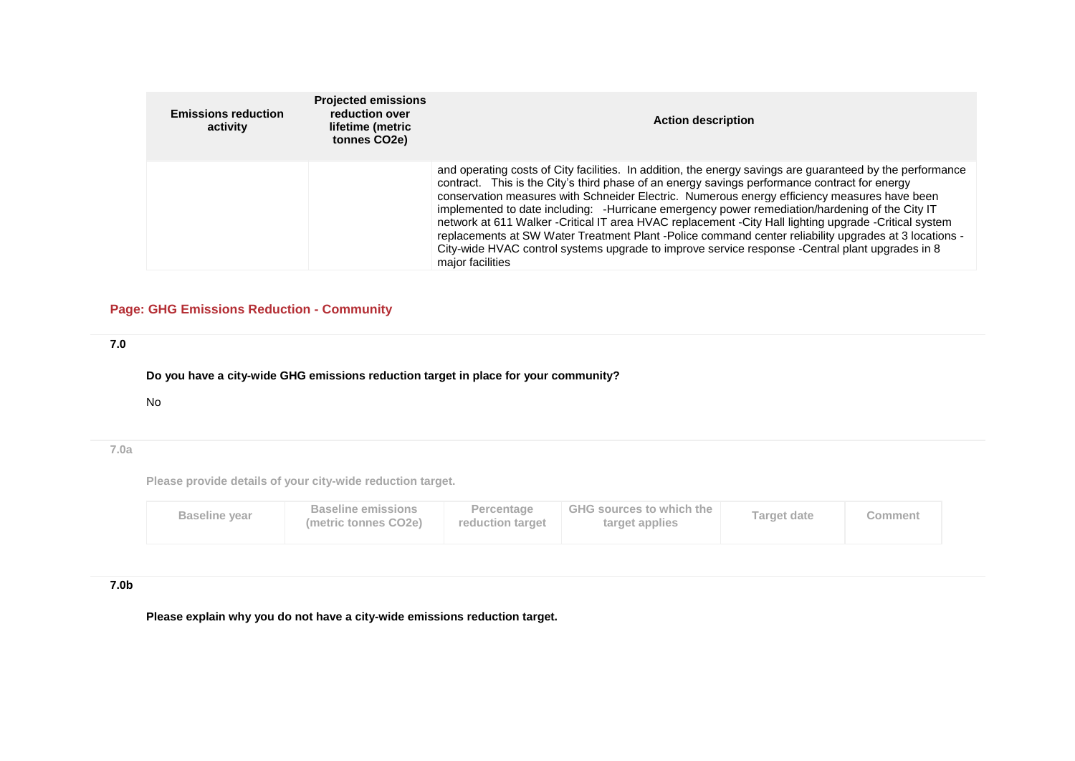| <b>Emissions reduction</b><br>activity | <b>Projected emissions</b><br>reduction over<br>lifetime (metric<br>tonnes CO2e) | <b>Action description</b>                                                                                                                                                                                                                                                                                                                                                                                                                                                                                                                                                                                                                                                                                                                             |
|----------------------------------------|----------------------------------------------------------------------------------|-------------------------------------------------------------------------------------------------------------------------------------------------------------------------------------------------------------------------------------------------------------------------------------------------------------------------------------------------------------------------------------------------------------------------------------------------------------------------------------------------------------------------------------------------------------------------------------------------------------------------------------------------------------------------------------------------------------------------------------------------------|
|                                        |                                                                                  | and operating costs of City facilities. In addition, the energy savings are guaranteed by the performance<br>contract. This is the City's third phase of an energy savings performance contract for energy<br>conservation measures with Schneider Electric. Numerous energy efficiency measures have been<br>implemented to date including: -Hurricane emergency power remediation/hardening of the City IT<br>network at 611 Walker -Critical IT area HVAC replacement -City Hall lighting upgrade -Critical system<br>replacements at SW Water Treatment Plant -Police command center reliability upgrades at 3 locations -<br>City-wide HVAC control systems upgrade to improve service response -Central plant upgrades in 8<br>major facilities |

# **Page: GHG Emissions Reduction - Community**

# **7.0**

**Do you have a city-wide GHG emissions reduction target in place for your community?**

#### No

# **7.0a**

**Please provide details of your city-wide reduction target.**

| <b>Baseline year</b> | <b>Baseline emissions</b><br>(metric tonnes CO2e) | Percentage<br>reduction target | <b>GHG sources to which the</b><br>target applies | <b>Target date</b> | Comment |
|----------------------|---------------------------------------------------|--------------------------------|---------------------------------------------------|--------------------|---------|
|----------------------|---------------------------------------------------|--------------------------------|---------------------------------------------------|--------------------|---------|

# **7.0b**

**Please explain why you do not have a city-wide emissions reduction target.**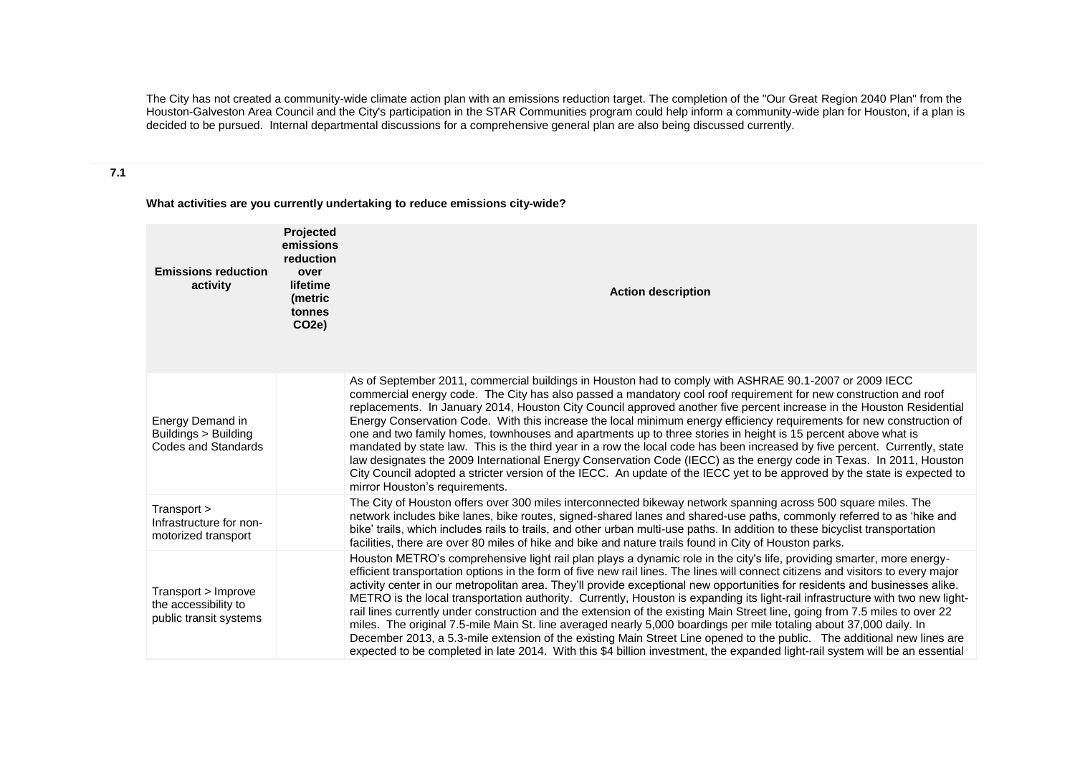The City has not created a community-wide climate action plan with an emissions reduction target. The completion of the "Our Great Region 2040 Plan" from the Houston-Galveston Area Council and the City's participation in the STAR Communities program could help inform a community-wide plan for Houston, if a plan is decided to be pursued. Internal departmental discussions for a comprehensive general plan are also being discussed currently.

#### **7.1**

**What activities are you currently undertaking to reduce emissions city-wide?**

| <b>Emissions reduction</b><br>activity                                 | Projected<br>emissions<br>reduction<br>over<br>lifetime<br>(metric<br>tonnes<br>CO <sub>2</sub> e) | <b>Action description</b>                                                                                                                                                                                                                                                                                                                                                                                                                                                                                                                                                                                                                                                                                                                                                                                                                                                                                                                                                                                                                    |
|------------------------------------------------------------------------|----------------------------------------------------------------------------------------------------|----------------------------------------------------------------------------------------------------------------------------------------------------------------------------------------------------------------------------------------------------------------------------------------------------------------------------------------------------------------------------------------------------------------------------------------------------------------------------------------------------------------------------------------------------------------------------------------------------------------------------------------------------------------------------------------------------------------------------------------------------------------------------------------------------------------------------------------------------------------------------------------------------------------------------------------------------------------------------------------------------------------------------------------------|
| Energy Demand in<br>Buildings > Building<br><b>Codes and Standards</b> |                                                                                                    | As of September 2011, commercial buildings in Houston had to comply with ASHRAE 90.1-2007 or 2009 IECC<br>commercial energy code. The City has also passed a mandatory cool roof requirement for new construction and roof<br>replacements. In January 2014, Houston City Council approved another five percent increase in the Houston Residential<br>Energy Conservation Code. With this increase the local minimum energy efficiency requirements for new construction of<br>one and two family homes, townhouses and apartments up to three stories in height is 15 percent above what is<br>mandated by state law. This is the third year in a row the local code has been increased by five percent. Currently, state<br>law designates the 2009 International Energy Conservation Code (IECC) as the energy code in Texas. In 2011, Houston<br>City Council adopted a stricter version of the IECC. An update of the IECC yet to be approved by the state is expected to<br>mirror Houston's requirements.                            |
| Transport ><br>Infrastructure for non-<br>motorized transport          |                                                                                                    | The City of Houston offers over 300 miles interconnected bikeway network spanning across 500 square miles. The<br>network includes bike lanes, bike routes, signed-shared lanes and shared-use paths, commonly referred to as 'hike and<br>bike' trails, which includes rails to trails, and other urban multi-use paths. In addition to these bicyclist transportation<br>facilities, there are over 80 miles of hike and bike and nature trails found in City of Houston parks.                                                                                                                                                                                                                                                                                                                                                                                                                                                                                                                                                            |
| Transport > Improve<br>the accessibility to<br>public transit systems  |                                                                                                    | Houston METRO's comprehensive light rail plan plays a dynamic role in the city's life, providing smarter, more energy-<br>efficient transportation options in the form of five new rail lines. The lines will connect citizens and visitors to every major<br>activity center in our metropolitan area. They'll provide exceptional new opportunities for residents and businesses alike.<br>METRO is the local transportation authority. Currently, Houston is expanding its light-rail infrastructure with two new light-<br>rail lines currently under construction and the extension of the existing Main Street line, going from 7.5 miles to over 22<br>miles. The original 7.5-mile Main St. line averaged nearly 5,000 boardings per mile totaling about 37,000 daily. In<br>December 2013, a 5.3-mile extension of the existing Main Street Line opened to the public. The additional new lines are<br>expected to be completed in late 2014. With this \$4 billion investment, the expanded light-rail system will be an essential |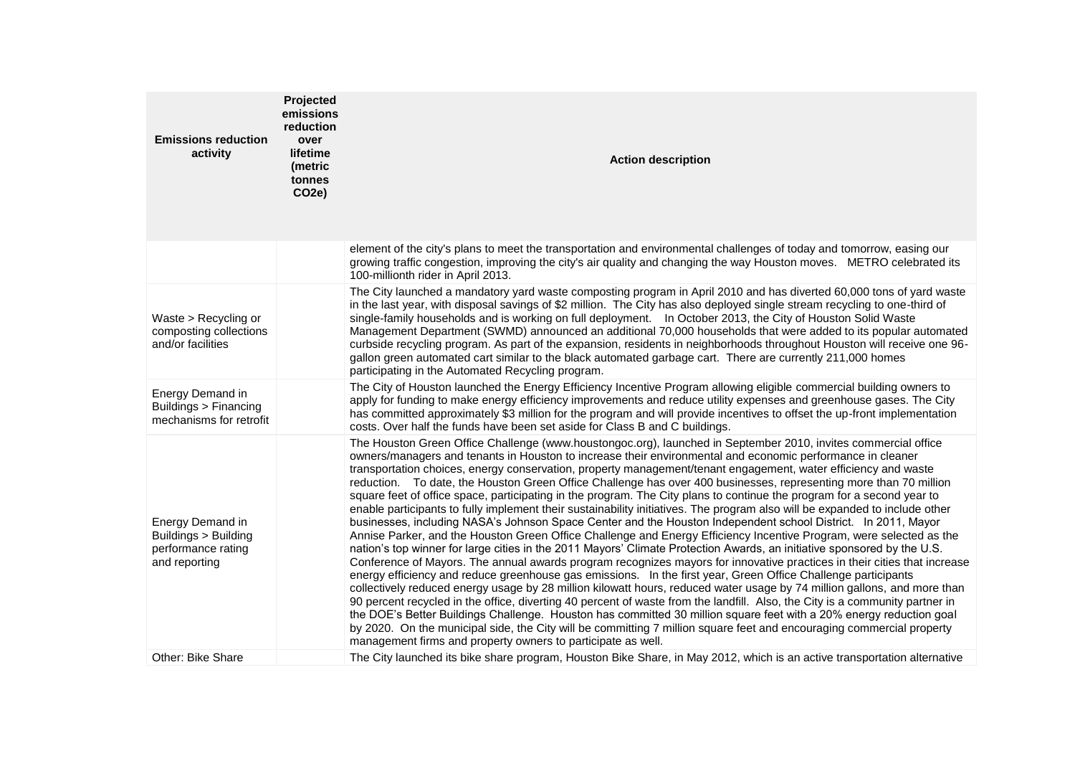| <b>Emissions reduction</b><br>activity                                          | Projected<br>emissions<br>reduction<br>over<br>lifetime<br>(metric<br>tonnes<br>CO2e) | <b>Action description</b>                                                                                                                                                                                                                                                                                                                                                                                                                                                                                                                                                                                                                                                                                                                                                                                                                                                                                                                                                                                                                                                                                                                                                                                                                                                                                                                                                                                                                                                                                                                                                                                                                                                                                                                                                                                                                                                                                                |
|---------------------------------------------------------------------------------|---------------------------------------------------------------------------------------|--------------------------------------------------------------------------------------------------------------------------------------------------------------------------------------------------------------------------------------------------------------------------------------------------------------------------------------------------------------------------------------------------------------------------------------------------------------------------------------------------------------------------------------------------------------------------------------------------------------------------------------------------------------------------------------------------------------------------------------------------------------------------------------------------------------------------------------------------------------------------------------------------------------------------------------------------------------------------------------------------------------------------------------------------------------------------------------------------------------------------------------------------------------------------------------------------------------------------------------------------------------------------------------------------------------------------------------------------------------------------------------------------------------------------------------------------------------------------------------------------------------------------------------------------------------------------------------------------------------------------------------------------------------------------------------------------------------------------------------------------------------------------------------------------------------------------------------------------------------------------------------------------------------------------|
|                                                                                 |                                                                                       | element of the city's plans to meet the transportation and environmental challenges of today and tomorrow, easing our<br>growing traffic congestion, improving the city's air quality and changing the way Houston moves. METRO celebrated its<br>100-millionth rider in April 2013.                                                                                                                                                                                                                                                                                                                                                                                                                                                                                                                                                                                                                                                                                                                                                                                                                                                                                                                                                                                                                                                                                                                                                                                                                                                                                                                                                                                                                                                                                                                                                                                                                                     |
| Waste > Recycling or<br>composting collections<br>and/or facilities             |                                                                                       | The City launched a mandatory yard waste composting program in April 2010 and has diverted 60,000 tons of yard waste<br>in the last year, with disposal savings of \$2 million. The City has also deployed single stream recycling to one-third of<br>single-family households and is working on full deployment.  In October 2013, the City of Houston Solid Waste<br>Management Department (SWMD) announced an additional 70,000 households that were added to its popular automated<br>curbside recycling program. As part of the expansion, residents in neighborhoods throughout Houston will receive one 96-<br>gallon green automated cart similar to the black automated garbage cart. There are currently 211,000 homes<br>participating in the Automated Recycling program.                                                                                                                                                                                                                                                                                                                                                                                                                                                                                                                                                                                                                                                                                                                                                                                                                                                                                                                                                                                                                                                                                                                                    |
| Energy Demand in<br>Buildings > Financing<br>mechanisms for retrofit            |                                                                                       | The City of Houston launched the Energy Efficiency Incentive Program allowing eligible commercial building owners to<br>apply for funding to make energy efficiency improvements and reduce utility expenses and greenhouse gases. The City<br>has committed approximately \$3 million for the program and will provide incentives to offset the up-front implementation<br>costs. Over half the funds have been set aside for Class B and C buildings.                                                                                                                                                                                                                                                                                                                                                                                                                                                                                                                                                                                                                                                                                                                                                                                                                                                                                                                                                                                                                                                                                                                                                                                                                                                                                                                                                                                                                                                                  |
| Energy Demand in<br>Buildings > Building<br>performance rating<br>and reporting |                                                                                       | The Houston Green Office Challenge (www.houstongoc.org), launched in September 2010, invites commercial office<br>owners/managers and tenants in Houston to increase their environmental and economic performance in cleaner<br>transportation choices, energy conservation, property management/tenant engagement, water efficiency and waste<br>reduction. To date, the Houston Green Office Challenge has over 400 businesses, representing more than 70 million<br>square feet of office space, participating in the program. The City plans to continue the program for a second year to<br>enable participants to fully implement their sustainability initiatives. The program also will be expanded to include other<br>businesses, including NASA's Johnson Space Center and the Houston Independent school District. In 2011, Mayor<br>Annise Parker, and the Houston Green Office Challenge and Energy Efficiency Incentive Program, were selected as the<br>nation's top winner for large cities in the 2011 Mayors' Climate Protection Awards, an initiative sponsored by the U.S.<br>Conference of Mayors. The annual awards program recognizes mayors for innovative practices in their cities that increase<br>energy efficiency and reduce greenhouse gas emissions. In the first year, Green Office Challenge participants<br>collectively reduced energy usage by 28 million kilowatt hours, reduced water usage by 74 million gallons, and more than<br>90 percent recycled in the office, diverting 40 percent of waste from the landfill. Also, the City is a community partner in<br>the DOE's Better Buildings Challenge. Houston has committed 30 million square feet with a 20% energy reduction goal<br>by 2020. On the municipal side, the City will be committing 7 million square feet and encouraging commercial property<br>management firms and property owners to participate as well. |
| Other: Bike Share                                                               |                                                                                       | The City launched its bike share program, Houston Bike Share, in May 2012, which is an active transportation alternative                                                                                                                                                                                                                                                                                                                                                                                                                                                                                                                                                                                                                                                                                                                                                                                                                                                                                                                                                                                                                                                                                                                                                                                                                                                                                                                                                                                                                                                                                                                                                                                                                                                                                                                                                                                                 |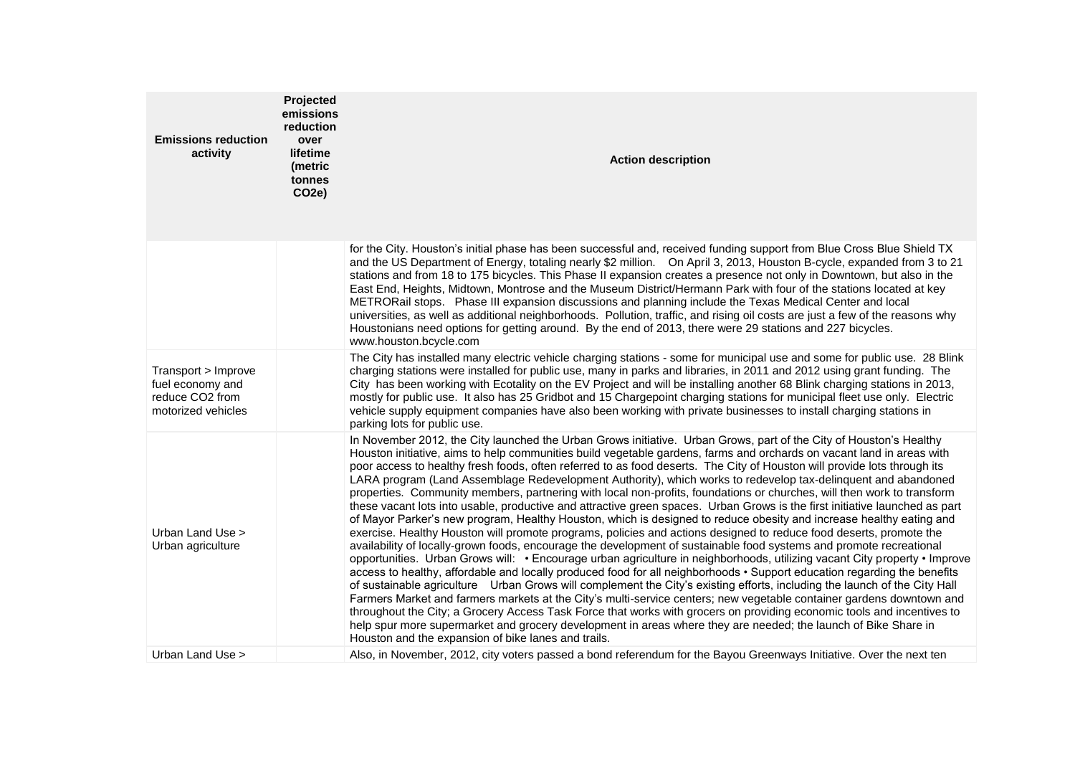| <b>Emissions reduction</b><br>activity                                           | Projected<br>emissions<br>reduction<br>over<br>lifetime<br>(metric<br>tonnes<br>CO <sub>2</sub> e) | <b>Action description</b>                                                                                                                                                                                                                                                                                                                                                                                                                                                                                                                                                                                                                                                                                                                                                                                                                                                                                                                                                                                                                                                                                                                                                                                                                                                                                                                                                                                                                                                                                                                                                                                                                                                                                                                                                                                                                                                                                                              |
|----------------------------------------------------------------------------------|----------------------------------------------------------------------------------------------------|----------------------------------------------------------------------------------------------------------------------------------------------------------------------------------------------------------------------------------------------------------------------------------------------------------------------------------------------------------------------------------------------------------------------------------------------------------------------------------------------------------------------------------------------------------------------------------------------------------------------------------------------------------------------------------------------------------------------------------------------------------------------------------------------------------------------------------------------------------------------------------------------------------------------------------------------------------------------------------------------------------------------------------------------------------------------------------------------------------------------------------------------------------------------------------------------------------------------------------------------------------------------------------------------------------------------------------------------------------------------------------------------------------------------------------------------------------------------------------------------------------------------------------------------------------------------------------------------------------------------------------------------------------------------------------------------------------------------------------------------------------------------------------------------------------------------------------------------------------------------------------------------------------------------------------------|
|                                                                                  |                                                                                                    | for the City. Houston's initial phase has been successful and, received funding support from Blue Cross Blue Shield TX<br>and the US Department of Energy, totaling nearly \$2 million. On April 3, 2013, Houston B-cycle, expanded from 3 to 21<br>stations and from 18 to 175 bicycles. This Phase II expansion creates a presence not only in Downtown, but also in the<br>East End, Heights, Midtown, Montrose and the Museum District/Hermann Park with four of the stations located at key<br>METRORail stops. Phase III expansion discussions and planning include the Texas Medical Center and local<br>universities, as well as additional neighborhoods. Pollution, traffic, and rising oil costs are just a few of the reasons why<br>Houstonians need options for getting around. By the end of 2013, there were 29 stations and 227 bicycles.<br>www.houston.bcycle.com                                                                                                                                                                                                                                                                                                                                                                                                                                                                                                                                                                                                                                                                                                                                                                                                                                                                                                                                                                                                                                                   |
| Transport > Improve<br>fuel economy and<br>reduce CO2 from<br>motorized vehicles |                                                                                                    | The City has installed many electric vehicle charging stations - some for municipal use and some for public use. 28 Blink<br>charging stations were installed for public use, many in parks and libraries, in 2011 and 2012 using grant funding. The<br>City has been working with Ecotality on the EV Project and will be installing another 68 Blink charging stations in 2013,<br>mostly for public use. It also has 25 Gridbot and 15 Chargepoint charging stations for municipal fleet use only. Electric<br>vehicle supply equipment companies have also been working with private businesses to install charging stations in<br>parking lots for public use.                                                                                                                                                                                                                                                                                                                                                                                                                                                                                                                                                                                                                                                                                                                                                                                                                                                                                                                                                                                                                                                                                                                                                                                                                                                                    |
| Urban Land Use ><br>Urban agriculture                                            |                                                                                                    | In November 2012, the City launched the Urban Grows initiative. Urban Grows, part of the City of Houston's Healthy<br>Houston initiative, aims to help communities build vegetable gardens, farms and orchards on vacant land in areas with<br>poor access to healthy fresh foods, often referred to as food deserts. The City of Houston will provide lots through its<br>LARA program (Land Assemblage Redevelopment Authority), which works to redevelop tax-delinquent and abandoned<br>properties. Community members, partnering with local non-profits, foundations or churches, will then work to transform<br>these vacant lots into usable, productive and attractive green spaces. Urban Grows is the first initiative launched as part<br>of Mayor Parker's new program, Healthy Houston, which is designed to reduce obesity and increase healthy eating and<br>exercise. Healthy Houston will promote programs, policies and actions designed to reduce food deserts, promote the<br>availability of locally-grown foods, encourage the development of sustainable food systems and promote recreational<br>opportunities. Urban Grows will: • Encourage urban agriculture in neighborhoods, utilizing vacant City property • Improve<br>access to healthy, affordable and locally produced food for all neighborhoods • Support education regarding the benefits<br>of sustainable agriculture Urban Grows will complement the City's existing efforts, including the launch of the City Hall<br>Farmers Market and farmers markets at the City's multi-service centers; new vegetable container gardens downtown and<br>throughout the City; a Grocery Access Task Force that works with grocers on providing economic tools and incentives to<br>help spur more supermarket and grocery development in areas where they are needed; the launch of Bike Share in<br>Houston and the expansion of bike lanes and trails. |
| Urban Land Use >                                                                 |                                                                                                    | Also, in November, 2012, city voters passed a bond referendum for the Bayou Greenways Initiative. Over the next ten                                                                                                                                                                                                                                                                                                                                                                                                                                                                                                                                                                                                                                                                                                                                                                                                                                                                                                                                                                                                                                                                                                                                                                                                                                                                                                                                                                                                                                                                                                                                                                                                                                                                                                                                                                                                                    |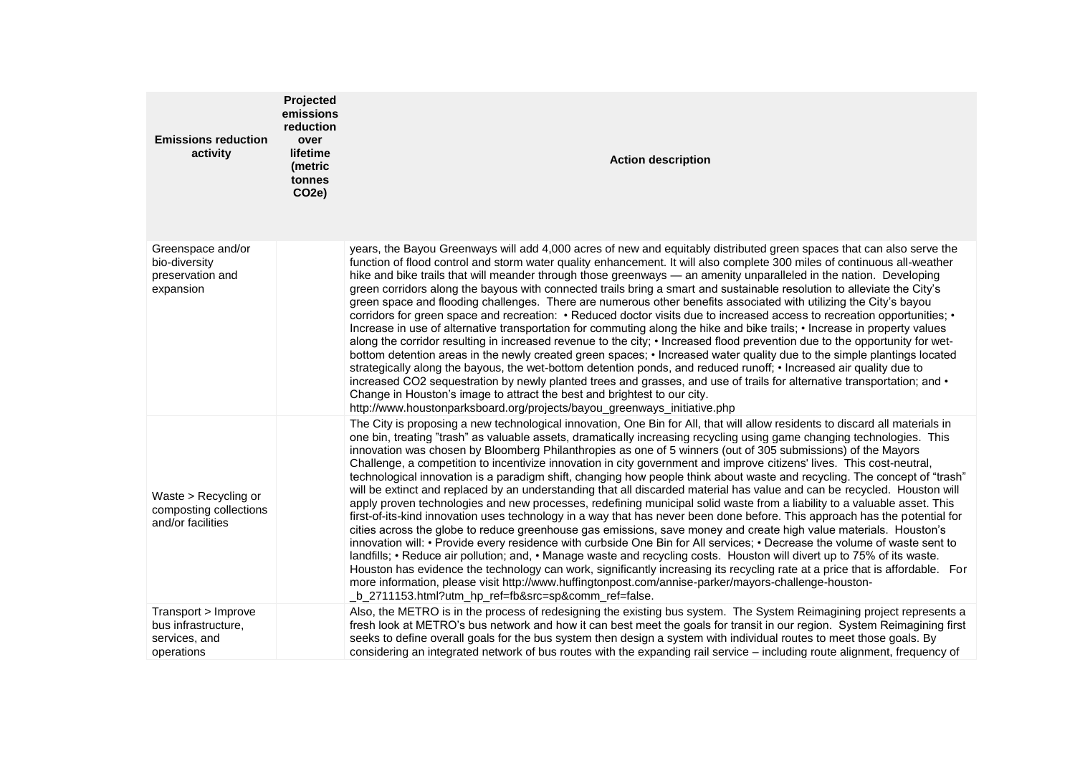| <b>Emissions reduction</b><br>activity                                    | Projected<br>emissions<br>reduction<br>over<br>lifetime<br>(metric<br>tonnes<br><b>CO2e)</b> | <b>Action description</b>                                                                                                                                                                                                                                                                                                                                                                                                                                                                                                                                                                                                                                                                                                                                                                                                                                                                                                                                                                                                                                                                                                                                                                                                                                                                                                                                                                                                                                                                                                                                                                                                                                                                       |
|---------------------------------------------------------------------------|----------------------------------------------------------------------------------------------|-------------------------------------------------------------------------------------------------------------------------------------------------------------------------------------------------------------------------------------------------------------------------------------------------------------------------------------------------------------------------------------------------------------------------------------------------------------------------------------------------------------------------------------------------------------------------------------------------------------------------------------------------------------------------------------------------------------------------------------------------------------------------------------------------------------------------------------------------------------------------------------------------------------------------------------------------------------------------------------------------------------------------------------------------------------------------------------------------------------------------------------------------------------------------------------------------------------------------------------------------------------------------------------------------------------------------------------------------------------------------------------------------------------------------------------------------------------------------------------------------------------------------------------------------------------------------------------------------------------------------------------------------------------------------------------------------|
| Greenspace and/or<br>bio-diversity<br>preservation and<br>expansion       |                                                                                              | years, the Bayou Greenways will add 4,000 acres of new and equitably distributed green spaces that can also serve the<br>function of flood control and storm water quality enhancement. It will also complete 300 miles of continuous all-weather<br>hike and bike trails that will meander through those greenways - an amenity unparalleled in the nation. Developing<br>green corridors along the bayous with connected trails bring a smart and sustainable resolution to alleviate the City's<br>green space and flooding challenges. There are numerous other benefits associated with utilizing the City's bayou<br>corridors for green space and recreation: • Reduced doctor visits due to increased access to recreation opportunities; •<br>Increase in use of alternative transportation for commuting along the hike and bike trails; • Increase in property values<br>along the corridor resulting in increased revenue to the city; • Increased flood prevention due to the opportunity for wet-<br>bottom detention areas in the newly created green spaces; • Increased water quality due to the simple plantings located<br>strategically along the bayous, the wet-bottom detention ponds, and reduced runoff; • Increased air quality due to<br>increased CO2 sequestration by newly planted trees and grasses, and use of trails for alternative transportation; and $\cdot$<br>Change in Houston's image to attract the best and brightest to our city.<br>http://www.houstonparksboard.org/projects/bayou_greenways_initiative.php                                                                                                                                       |
| Waste > Recycling or<br>composting collections<br>and/or facilities       |                                                                                              | The City is proposing a new technological innovation, One Bin for All, that will allow residents to discard all materials in<br>one bin, treating "trash" as valuable assets, dramatically increasing recycling using game changing technologies. This<br>innovation was chosen by Bloomberg Philanthropies as one of 5 winners (out of 305 submissions) of the Mayors<br>Challenge, a competition to incentivize innovation in city government and improve citizens' lives. This cost-neutral,<br>technological innovation is a paradigm shift, changing how people think about waste and recycling. The concept of "trash"<br>will be extinct and replaced by an understanding that all discarded material has value and can be recycled. Houston will<br>apply proven technologies and new processes, redefining municipal solid waste from a liability to a valuable asset. This<br>first-of-its-kind innovation uses technology in a way that has never been done before. This approach has the potential for<br>cities across the globe to reduce greenhouse gas emissions, save money and create high value materials. Houston's<br>innovation will: • Provide every residence with curbside One Bin for All services; • Decrease the volume of waste sent to<br>landfills; • Reduce air pollution; and, • Manage waste and recycling costs. Houston will divert up to 75% of its waste.<br>Houston has evidence the technology can work, significantly increasing its recycling rate at a price that is affordable. For<br>more information, please visit http://www.huffingtonpost.com/annise-parker/mayors-challenge-houston-<br>_b_2711153.html?utm_hp_ref=fb&src=sp&comm_ref=false. |
| Transport > Improve<br>bus infrastructure,<br>services, and<br>operations |                                                                                              | Also, the METRO is in the process of redesigning the existing bus system. The System Reimagining project represents a<br>fresh look at METRO's bus network and how it can best meet the goals for transit in our region. System Reimagining first<br>seeks to define overall goals for the bus system then design a system with individual routes to meet those goals. By<br>considering an integrated network of bus routes with the expanding rail service - including route alignment, frequency of                                                                                                                                                                                                                                                                                                                                                                                                                                                                                                                                                                                                                                                                                                                                                                                                                                                                                                                                                                                                                                                                                                                                                                                          |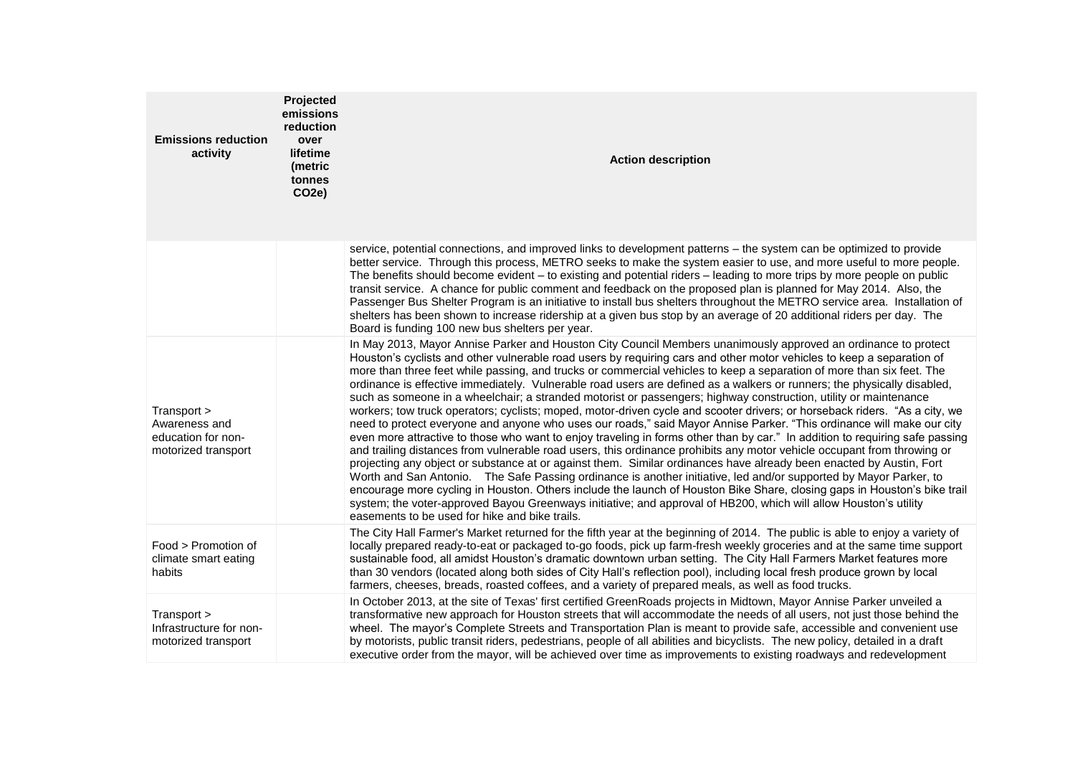| <b>Emissions reduction</b><br>activity                                    | Projected<br>emissions<br>reduction<br>over<br>lifetime<br>(metric<br>tonnes<br><b>CO2e)</b> | <b>Action description</b>                                                                                                                                                                                                                                                                                                                                                                                                                                                                                                                                                                                                                                                                                                                                                                                                                                                                                                                                                                                                                                                                                                                                                                                                                                                                                                                                                                                                                                                                                                                                                                                                                                                       |
|---------------------------------------------------------------------------|----------------------------------------------------------------------------------------------|---------------------------------------------------------------------------------------------------------------------------------------------------------------------------------------------------------------------------------------------------------------------------------------------------------------------------------------------------------------------------------------------------------------------------------------------------------------------------------------------------------------------------------------------------------------------------------------------------------------------------------------------------------------------------------------------------------------------------------------------------------------------------------------------------------------------------------------------------------------------------------------------------------------------------------------------------------------------------------------------------------------------------------------------------------------------------------------------------------------------------------------------------------------------------------------------------------------------------------------------------------------------------------------------------------------------------------------------------------------------------------------------------------------------------------------------------------------------------------------------------------------------------------------------------------------------------------------------------------------------------------------------------------------------------------|
|                                                                           |                                                                                              | service, potential connections, and improved links to development patterns - the system can be optimized to provide<br>better service. Through this process, METRO seeks to make the system easier to use, and more useful to more people.<br>The benefits should become evident – to existing and potential riders – leading to more trips by more people on public<br>transit service. A chance for public comment and feedback on the proposed plan is planned for May 2014. Also, the<br>Passenger Bus Shelter Program is an initiative to install bus shelters throughout the METRO service area. Installation of<br>shelters has been shown to increase ridership at a given bus stop by an average of 20 additional riders per day. The<br>Board is funding 100 new bus shelters per year.                                                                                                                                                                                                                                                                                                                                                                                                                                                                                                                                                                                                                                                                                                                                                                                                                                                                               |
| Transport ><br>Awareness and<br>education for non-<br>motorized transport |                                                                                              | In May 2013, Mayor Annise Parker and Houston City Council Members unanimously approved an ordinance to protect<br>Houston's cyclists and other vulnerable road users by requiring cars and other motor vehicles to keep a separation of<br>more than three feet while passing, and trucks or commercial vehicles to keep a separation of more than six feet. The<br>ordinance is effective immediately. Vulnerable road users are defined as a walkers or runners; the physically disabled,<br>such as someone in a wheelchair; a stranded motorist or passengers; highway construction, utility or maintenance<br>workers; tow truck operators; cyclists; moped, motor-driven cycle and scooter drivers; or horseback riders. "As a city, we<br>need to protect everyone and anyone who uses our roads," said Mayor Annise Parker. "This ordinance will make our city<br>even more attractive to those who want to enjoy traveling in forms other than by car." In addition to requiring safe passing<br>and trailing distances from vulnerable road users, this ordinance prohibits any motor vehicle occupant from throwing or<br>projecting any object or substance at or against them. Similar ordinances have already been enacted by Austin, Fort<br>Worth and San Antonio. The Safe Passing ordinance is another initiative, led and/or supported by Mayor Parker, to<br>encourage more cycling in Houston. Others include the launch of Houston Bike Share, closing gaps in Houston's bike trail<br>system; the voter-approved Bayou Greenways initiative; and approval of HB200, which will allow Houston's utility<br>easements to be used for hike and bike trails. |
| Food > Promotion of<br>climate smart eating<br>habits                     |                                                                                              | The City Hall Farmer's Market returned for the fifth year at the beginning of 2014. The public is able to enjoy a variety of<br>locally prepared ready-to-eat or packaged to-go foods, pick up farm-fresh weekly groceries and at the same time support<br>sustainable food, all amidst Houston's dramatic downtown urban setting. The City Hall Farmers Market features more<br>than 30 vendors (located along both sides of City Hall's reflection pool), including local fresh produce grown by local<br>farmers, cheeses, breads, roasted coffees, and a variety of prepared meals, as well as food trucks.                                                                                                                                                                                                                                                                                                                                                                                                                                                                                                                                                                                                                                                                                                                                                                                                                                                                                                                                                                                                                                                                 |
| Transport ><br>Infrastructure for non-<br>motorized transport             |                                                                                              | In October 2013, at the site of Texas' first certified GreenRoads projects in Midtown, Mayor Annise Parker unveiled a<br>transformative new approach for Houston streets that will accommodate the needs of all users, not just those behind the<br>wheel. The mayor's Complete Streets and Transportation Plan is meant to provide safe, accessible and convenient use<br>by motorists, public transit riders, pedestrians, people of all abilities and bicyclists. The new policy, detailed in a draft<br>executive order from the mayor, will be achieved over time as improvements to existing roadways and redevelopment                                                                                                                                                                                                                                                                                                                                                                                                                                                                                                                                                                                                                                                                                                                                                                                                                                                                                                                                                                                                                                                   |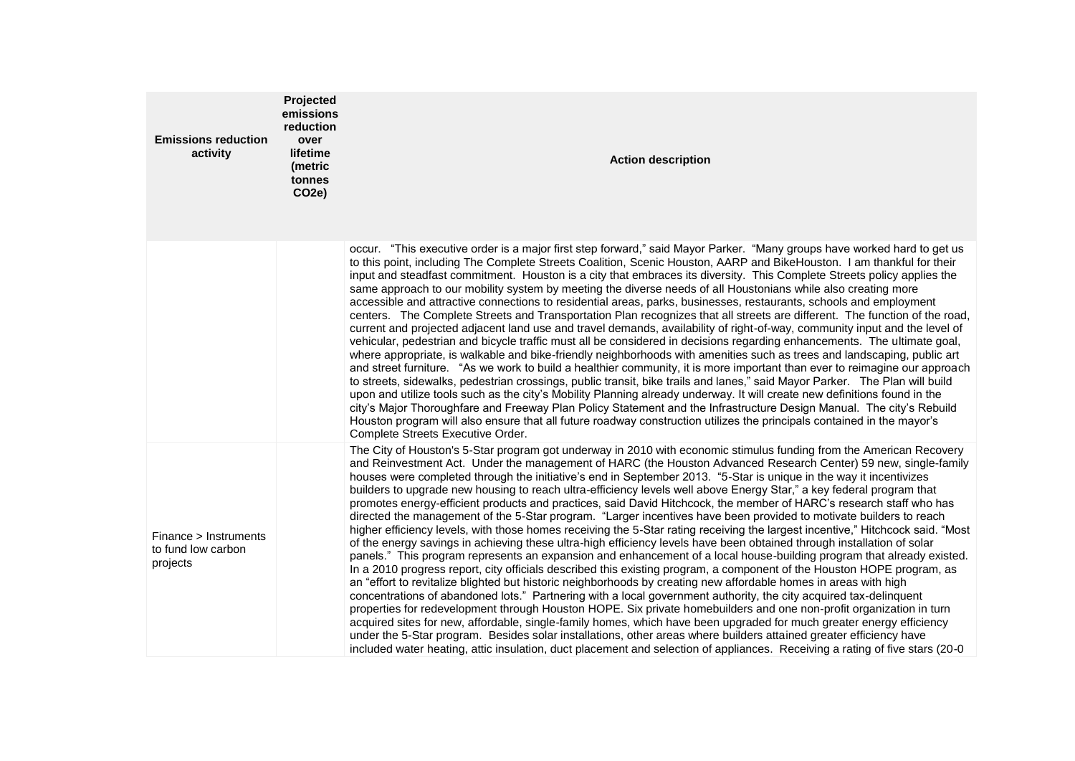| <b>Emissions reduction</b><br>activity                  | Projected<br>emissions<br>reduction<br>over<br>lifetime<br>(metric<br>tonnes<br>CO <sub>2</sub> e) | <b>Action description</b>                                                                                                                                                                                                                                                                                                                                                                                                                                                                                                                                                                                                                                                                                                                                                                                                                                                                                                                                                                                                                                                                                                                                                                                                                                                                                                                                                                                                                                                                                                                                                                                                                                                                                                                                                                                                                                                                                                                                                                      |
|---------------------------------------------------------|----------------------------------------------------------------------------------------------------|------------------------------------------------------------------------------------------------------------------------------------------------------------------------------------------------------------------------------------------------------------------------------------------------------------------------------------------------------------------------------------------------------------------------------------------------------------------------------------------------------------------------------------------------------------------------------------------------------------------------------------------------------------------------------------------------------------------------------------------------------------------------------------------------------------------------------------------------------------------------------------------------------------------------------------------------------------------------------------------------------------------------------------------------------------------------------------------------------------------------------------------------------------------------------------------------------------------------------------------------------------------------------------------------------------------------------------------------------------------------------------------------------------------------------------------------------------------------------------------------------------------------------------------------------------------------------------------------------------------------------------------------------------------------------------------------------------------------------------------------------------------------------------------------------------------------------------------------------------------------------------------------------------------------------------------------------------------------------------------------|
|                                                         |                                                                                                    | occur. "This executive order is a major first step forward," said Mayor Parker. "Many groups have worked hard to get us<br>to this point, including The Complete Streets Coalition, Scenic Houston, AARP and BikeHouston. I am thankful for their<br>input and steadfast commitment. Houston is a city that embraces its diversity. This Complete Streets policy applies the<br>same approach to our mobility system by meeting the diverse needs of all Houstonians while also creating more<br>accessible and attractive connections to residential areas, parks, businesses, restaurants, schools and employment<br>centers. The Complete Streets and Transportation Plan recognizes that all streets are different. The function of the road,<br>current and projected adjacent land use and travel demands, availability of right-of-way, community input and the level of<br>vehicular, pedestrian and bicycle traffic must all be considered in decisions regarding enhancements. The ultimate goal,<br>where appropriate, is walkable and bike-friendly neighborhoods with amenities such as trees and landscaping, public art<br>and street furniture. "As we work to build a healthier community, it is more important than ever to reimagine our approach<br>to streets, sidewalks, pedestrian crossings, public transit, bike trails and lanes," said Mayor Parker. The Plan will build<br>upon and utilize tools such as the city's Mobility Planning already underway. It will create new definitions found in the<br>city's Major Thoroughfare and Freeway Plan Policy Statement and the Infrastructure Design Manual. The city's Rebuild<br>Houston program will also ensure that all future roadway construction utilizes the principals contained in the mayor's<br>Complete Streets Executive Order.                                                                                                                                                                        |
| Finance > Instruments<br>to fund low carbon<br>projects |                                                                                                    | The City of Houston's 5-Star program got underway in 2010 with economic stimulus funding from the American Recovery<br>and Reinvestment Act. Under the management of HARC (the Houston Advanced Research Center) 59 new, single-family<br>houses were completed through the initiative's end in September 2013. "5-Star is unique in the way it incentivizes<br>builders to upgrade new housing to reach ultra-efficiency levels well above Energy Star," a key federal program that<br>promotes energy-efficient products and practices, said David Hitchcock, the member of HARC's research staff who has<br>directed the management of the 5-Star program. "Larger incentives have been provided to motivate builders to reach<br>higher efficiency levels, with those homes receiving the 5-Star rating receiving the largest incentive," Hitchcock said. "Most<br>of the energy savings in achieving these ultra-high efficiency levels have been obtained through installation of solar<br>panels." This program represents an expansion and enhancement of a local house-building program that already existed.<br>In a 2010 progress report, city officials described this existing program, a component of the Houston HOPE program, as<br>an "effort to revitalize blighted but historic neighborhoods by creating new affordable homes in areas with high<br>concentrations of abandoned lots." Partnering with a local government authority, the city acquired tax-delinquent<br>properties for redevelopment through Houston HOPE. Six private homebuilders and one non-profit organization in turn<br>acquired sites for new, affordable, single-family homes, which have been upgraded for much greater energy efficiency<br>under the 5-Star program. Besides solar installations, other areas where builders attained greater efficiency have<br>included water heating, attic insulation, duct placement and selection of appliances. Receiving a rating of five stars (20-0 |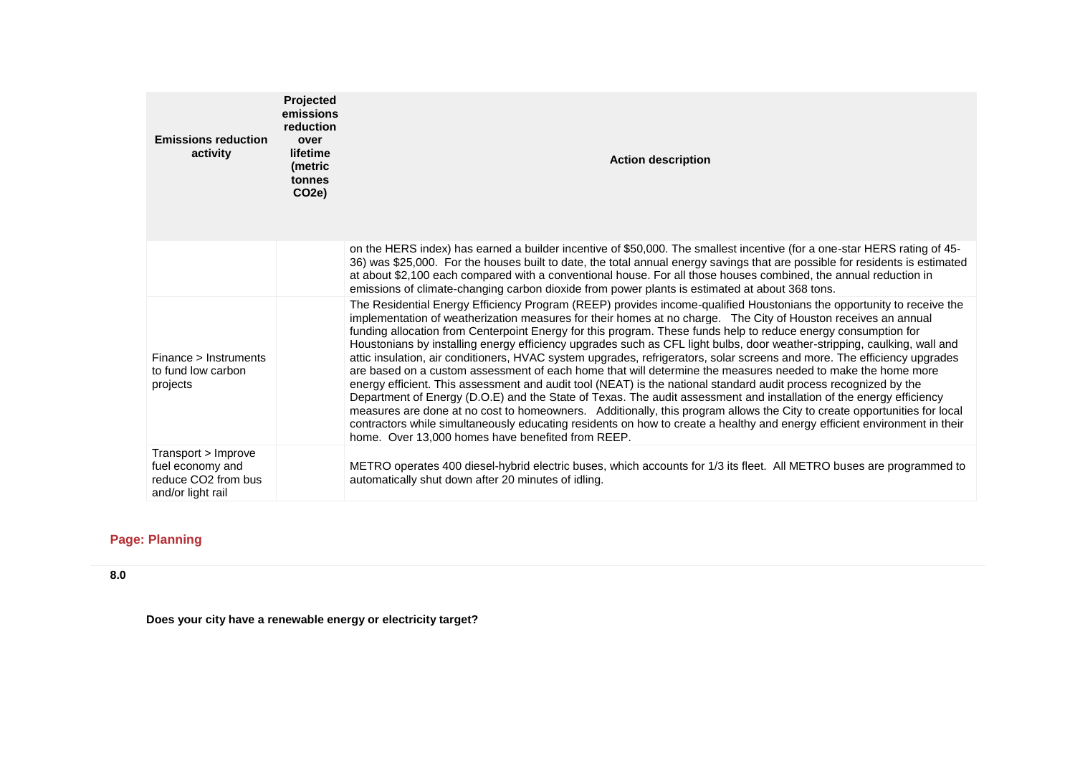| <b>Emissions reduction</b><br>activity                                                          | Projected<br>emissions<br>reduction<br>over<br>lifetime<br>(metric<br>tonnes<br>CO <sub>2e</sub> ) | <b>Action description</b>                                                                                                                                                                                                                                                                                                                                                                                                                                                                                                                                                                                                                                                                                                                                                                                                                                                                                                                                                                                                                                                                                                                                                                                                                                                                 |
|-------------------------------------------------------------------------------------------------|----------------------------------------------------------------------------------------------------|-------------------------------------------------------------------------------------------------------------------------------------------------------------------------------------------------------------------------------------------------------------------------------------------------------------------------------------------------------------------------------------------------------------------------------------------------------------------------------------------------------------------------------------------------------------------------------------------------------------------------------------------------------------------------------------------------------------------------------------------------------------------------------------------------------------------------------------------------------------------------------------------------------------------------------------------------------------------------------------------------------------------------------------------------------------------------------------------------------------------------------------------------------------------------------------------------------------------------------------------------------------------------------------------|
|                                                                                                 |                                                                                                    | on the HERS index) has earned a builder incentive of \$50,000. The smallest incentive (for a one-star HERS rating of 45-<br>36) was \$25,000. For the houses built to date, the total annual energy savings that are possible for residents is estimated<br>at about \$2,100 each compared with a conventional house. For all those houses combined, the annual reduction in<br>emissions of climate-changing carbon dioxide from power plants is estimated at about 368 tons.                                                                                                                                                                                                                                                                                                                                                                                                                                                                                                                                                                                                                                                                                                                                                                                                            |
| Finance > Instruments<br>to fund low carbon<br>projects                                         |                                                                                                    | The Residential Energy Efficiency Program (REEP) provides income-qualified Houstonians the opportunity to receive the<br>implementation of weatherization measures for their homes at no charge. The City of Houston receives an annual<br>funding allocation from Centerpoint Energy for this program. These funds help to reduce energy consumption for<br>Houstonians by installing energy efficiency upgrades such as CFL light bulbs, door weather-stripping, caulking, wall and<br>attic insulation, air conditioners, HVAC system upgrades, refrigerators, solar screens and more. The efficiency upgrades<br>are based on a custom assessment of each home that will determine the measures needed to make the home more<br>energy efficient. This assessment and audit tool (NEAT) is the national standard audit process recognized by the<br>Department of Energy (D.O.E) and the State of Texas. The audit assessment and installation of the energy efficiency<br>measures are done at no cost to homeowners. Additionally, this program allows the City to create opportunities for local<br>contractors while simultaneously educating residents on how to create a healthy and energy efficient environment in their<br>home. Over 13,000 homes have benefited from REEP. |
| Transport > Improve<br>fuel economy and<br>reduce CO <sub>2</sub> from bus<br>and/or light rail |                                                                                                    | METRO operates 400 diesel-hybrid electric buses, which accounts for 1/3 its fleet. All METRO buses are programmed to<br>automatically shut down after 20 minutes of idling.                                                                                                                                                                                                                                                                                                                                                                                                                                                                                                                                                                                                                                                                                                                                                                                                                                                                                                                                                                                                                                                                                                               |

# **Page: Planning**

**8.0**

**Does your city have a renewable energy or electricity target?**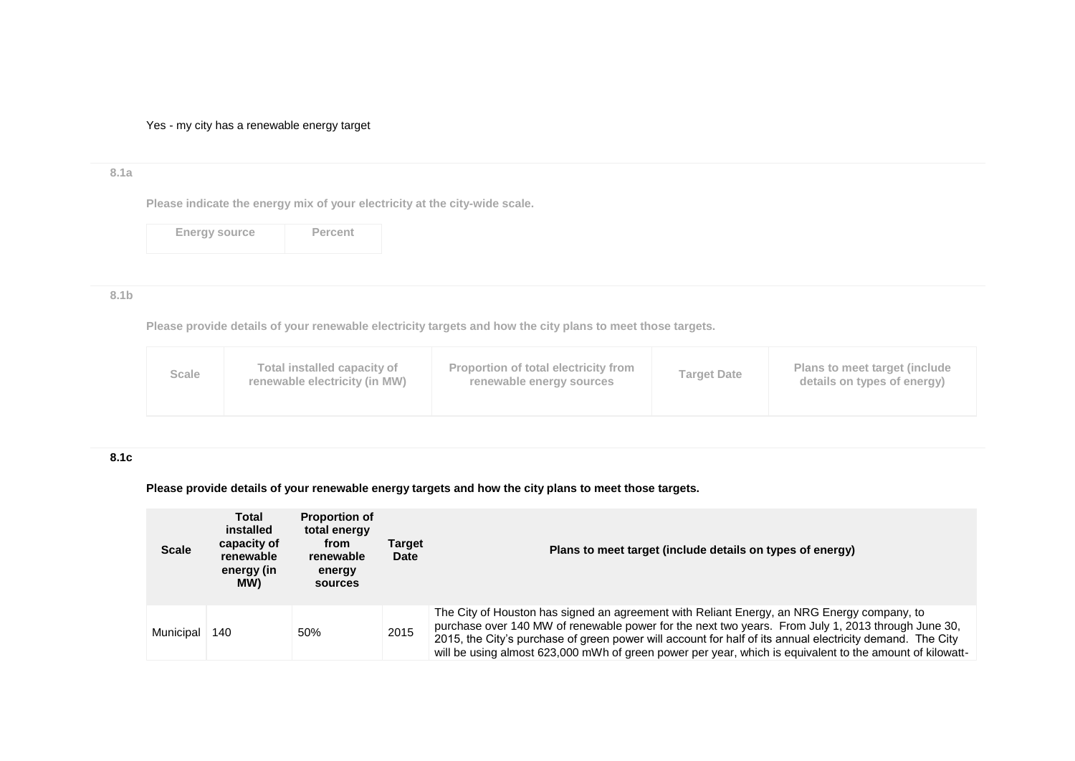Yes - my city has a renewable energy target

# **8.1a**

**Please indicate the energy mix of your electricity at the city-wide scale.**

Energy source **Percent** 

#### **8.1b**

**Please provide details of your renewable electricity targets and how the city plans to meet those targets.**

| Proportion of total electricity from<br>Total installed capacity of<br>Plans to meet target (include<br>Scale<br><b>Target Date</b><br>renewable electricity (in MW)<br>details on types of energy)<br>renewable energy sources |  |
|---------------------------------------------------------------------------------------------------------------------------------------------------------------------------------------------------------------------------------|--|
|---------------------------------------------------------------------------------------------------------------------------------------------------------------------------------------------------------------------------------|--|

#### **8.1c**

# **Please provide details of your renewable energy targets and how the city plans to meet those targets.**

| <b>Scale</b> | <b>Total</b><br>installed<br>capacity of<br>renewable<br>energy (in<br>MW) | <b>Proportion of</b><br>total energy<br>from<br>renewable<br>energy<br>sources | Target<br><b>Date</b> | Plans to meet target (include details on types of energy)                                                                                                                                                                                                                                                                                                                                                                 |
|--------------|----------------------------------------------------------------------------|--------------------------------------------------------------------------------|-----------------------|---------------------------------------------------------------------------------------------------------------------------------------------------------------------------------------------------------------------------------------------------------------------------------------------------------------------------------------------------------------------------------------------------------------------------|
| Municipal    | 140                                                                        | 50%                                                                            | 2015                  | The City of Houston has signed an agreement with Reliant Energy, an NRG Energy company, to<br>purchase over 140 MW of renewable power for the next two years. From July 1, 2013 through June 30,<br>2015, the City's purchase of green power will account for half of its annual electricity demand. The City<br>will be using almost 623,000 mWh of green power per year, which is equivalent to the amount of kilowatt- |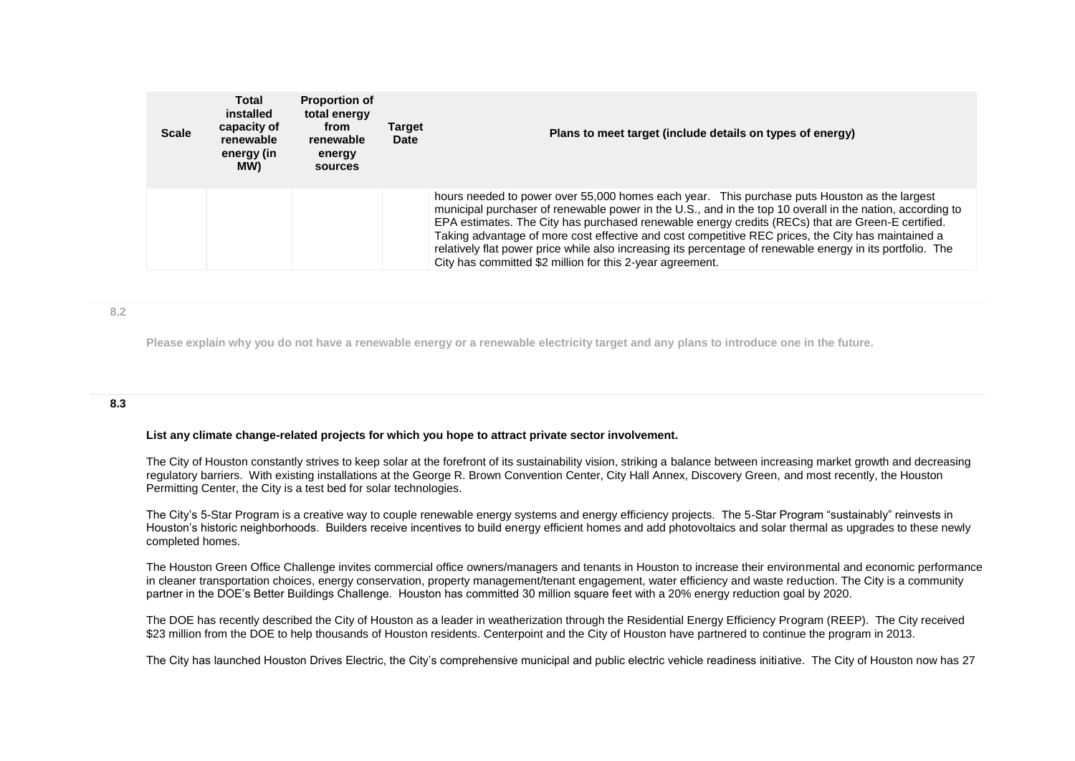| <b>Scale</b> | Total<br>installed<br>capacity of<br>renewable<br>energy (in<br>MW) | <b>Proportion of</b><br>total energy<br>from<br>renewable<br>energy<br>sources | <b>Target</b><br>Date | Plans to meet target (include details on types of energy)                                                                                                                                                                                                                                                                                                                                                                                                                                                                                                                                       |
|--------------|---------------------------------------------------------------------|--------------------------------------------------------------------------------|-----------------------|-------------------------------------------------------------------------------------------------------------------------------------------------------------------------------------------------------------------------------------------------------------------------------------------------------------------------------------------------------------------------------------------------------------------------------------------------------------------------------------------------------------------------------------------------------------------------------------------------|
|              |                                                                     |                                                                                |                       | hours needed to power over 55,000 homes each year. This purchase puts Houston as the largest<br>municipal purchaser of renewable power in the U.S., and in the top 10 overall in the nation, according to<br>EPA estimates. The City has purchased renewable energy credits (RECs) that are Green-E certified.<br>Taking advantage of more cost effective and cost competitive REC prices, the City has maintained a<br>relatively flat power price while also increasing its percentage of renewable energy in its portfolio. The<br>City has committed \$2 million for this 2-year agreement. |

#### **8.2**

**Please explain why you do not have a renewable energy or a renewable electricity target and any plans to introduce one in the future.**

#### **8.3**

#### **List any climate change-related projects for which you hope to attract private sector involvement.**

The City of Houston constantly strives to keep solar at the forefront of its sustainability vision, striking a balance between increasing market growth and decreasing regulatory barriers. With existing installations at the George R. Brown Convention Center, City Hall Annex, Discovery Green, and most recently, the Houston Permitting Center, the City is a test bed for solar technologies.

The City's 5-Star Program is a creative way to couple renewable energy systems and energy efficiency projects. The 5-Star Program "sustainably" reinvests in Houston's historic neighborhoods. Builders receive incentives to build energy efficient homes and add photovoltaics and solar thermal as upgrades to these newly completed homes.

The Houston Green Office Challenge invites commercial office owners/managers and tenants in Houston to increase their environmental and economic performance in cleaner transportation choices, energy conservation, property management/tenant engagement, water efficiency and waste reduction. The City is a community partner in the DOE's Better Buildings Challenge. Houston has committed 30 million square feet with a 20% energy reduction goal by 2020.

The DOE has recently described the City of Houston as a leader in weatherization through the Residential Energy Efficiency Program (REEP). The City received \$23 million from the DOE to help thousands of Houston residents. Centerpoint and the City of Houston have partnered to continue the program in 2013.

The City has launched Houston Drives Electric, the City's comprehensive municipal and public electric vehicle readiness initiative. The City of Houston now has 27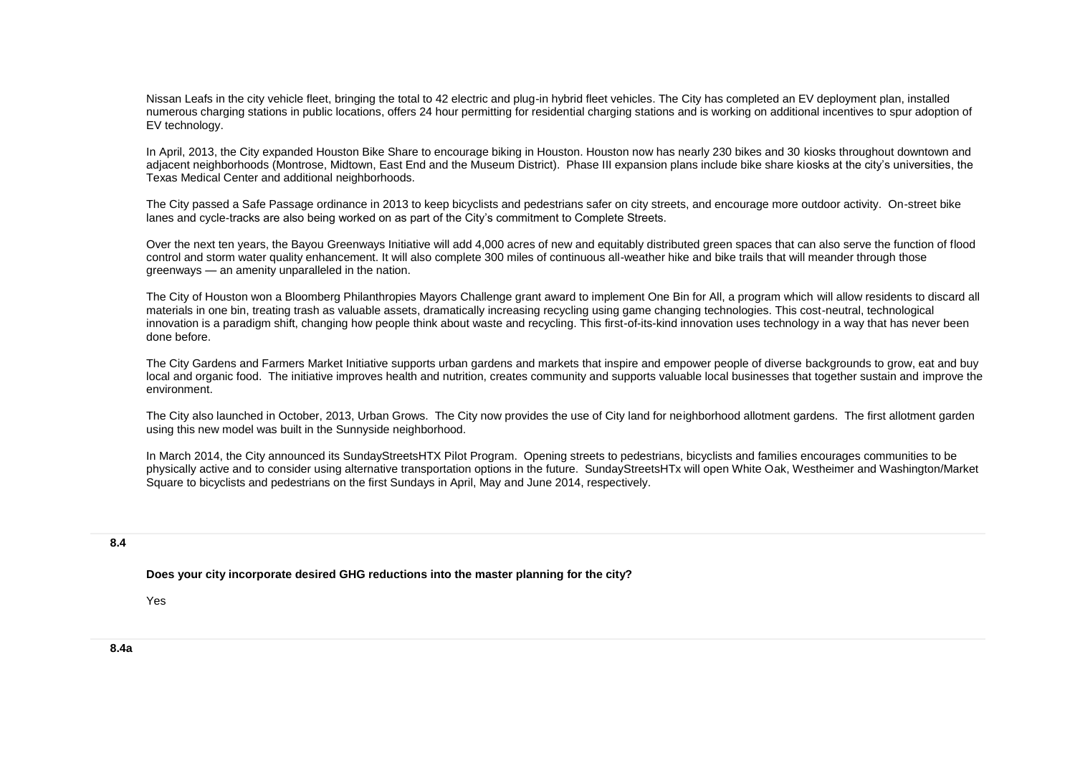Nissan Leafs in the city vehicle fleet, bringing the total to 42 electric and plug-in hybrid fleet vehicles. The City has completed an EV deployment plan, installed numerous charging stations in public locations, offers 24 hour permitting for residential charging stations and is working on additional incentives to spur adoption of EV technology.

In April, 2013, the City expanded Houston Bike Share to encourage biking in Houston. Houston now has nearly 230 bikes and 30 kiosks throughout downtown and adjacent neighborhoods (Montrose, Midtown, East End and the Museum District). Phase III expansion plans include bike share kiosks at the city's universities, the Texas Medical Center and additional neighborhoods.

The City passed a Safe Passage ordinance in 2013 to keep bicyclists and pedestrians safer on city streets, and encourage more outdoor activity. On-street bike lanes and cycle-tracks are also being worked on as part of the City's commitment to Complete Streets.

Over the next ten years, the Bayou Greenways Initiative will add 4,000 acres of new and equitably distributed green spaces that can also serve the function of flood control and storm water quality enhancement. It will also complete 300 miles of continuous all-weather hike and bike trails that will meander through those greenways — an amenity unparalleled in the nation.

The City of Houston won a Bloomberg Philanthropies Mayors Challenge grant award to implement One Bin for All, a program which will allow residents to discard all materials in one bin, treating trash as valuable assets, dramatically increasing recycling using game changing technologies. This cost-neutral, technological innovation is a paradigm shift, changing how people think about waste and recycling. This first-of-its-kind innovation uses technology in a way that has never been done before.

The City Gardens and Farmers Market Initiative supports urban gardens and markets that inspire and empower people of diverse backgrounds to grow, eat and buy local and organic food. The initiative improves health and nutrition, creates community and supports valuable local businesses that together sustain and improve the environment.

The City also launched in October, 2013, Urban Grows. The City now provides the use of City land for neighborhood allotment gardens. The first allotment garden using this new model was built in the Sunnyside neighborhood.

In March 2014, the City announced its SundayStreetsHTX Pilot Program. Opening streets to pedestrians, bicyclists and families encourages communities to be physically active and to consider using alternative transportation options in the future. SundayStreetsHTx will open White Oak, Westheimer and Washington/Market Square to bicyclists and pedestrians on the first Sundays in April, May and June 2014, respectively.

#### **8.4**

**Does your city incorporate desired GHG reductions into the master planning for the city?**

Yes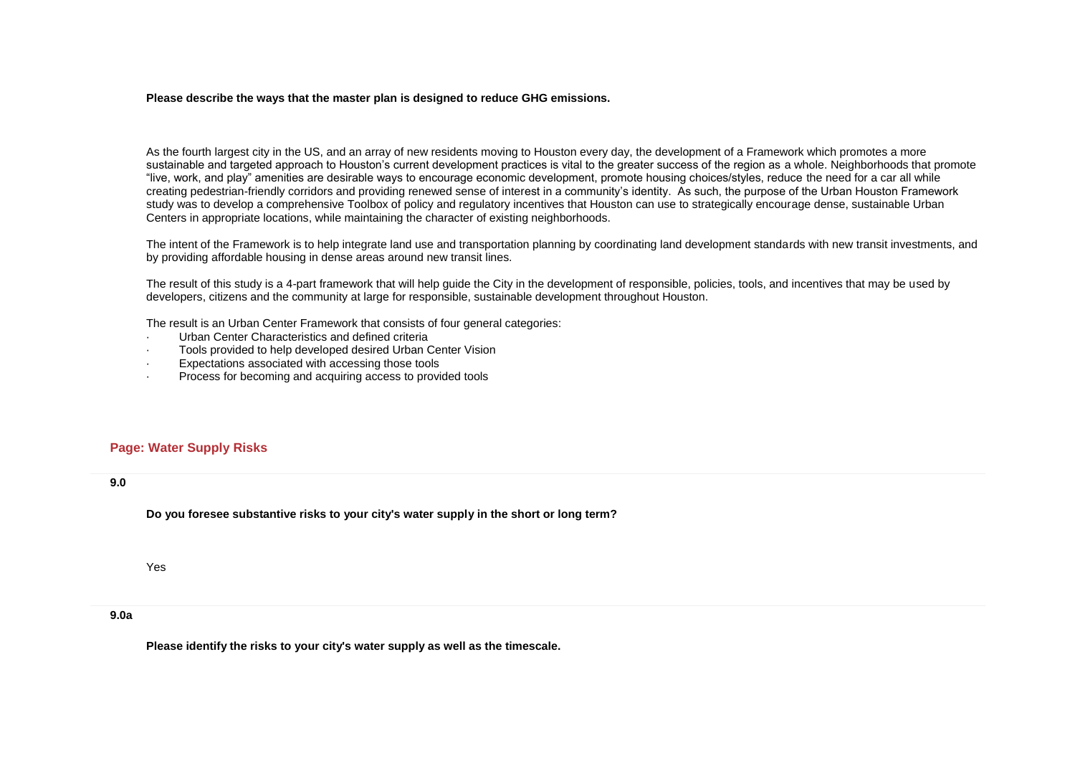#### **Please describe the ways that the master plan is designed to reduce GHG emissions.**

As the fourth largest city in the US, and an array of new residents moving to Houston every day, the development of a Framework which promotes a more sustainable and targeted approach to Houston's current development practices is vital to the greater success of the region as a whole. Neighborhoods that promote "live, work, and play" amenities are desirable ways to encourage economic development, promote housing choices/styles, reduce the need for a car all while creating pedestrian-friendly corridors and providing renewed sense of interest in a community's identity. As such, the purpose of the Urban Houston Framework study was to develop a comprehensive Toolbox of policy and regulatory incentives that Houston can use to strategically encourage dense, sustainable Urban Centers in appropriate locations, while maintaining the character of existing neighborhoods.

The intent of the Framework is to help integrate land use and transportation planning by coordinating land development standards with new transit investments, and by providing affordable housing in dense areas around new transit lines.

The result of this study is a 4-part framework that will help guide the City in the development of responsible, policies, tools, and incentives that may be used by developers, citizens and the community at large for responsible, sustainable development throughout Houston.

The result is an Urban Center Framework that consists of four general categories:

- · Urban Center Characteristics and defined criteria
- · Tools provided to help developed desired Urban Center Vision
- Expectations associated with accessing those tools
- Process for becoming and acquiring access to provided tools

#### **Page: Water Supply Risks**

#### **9.0**

**Do you foresee substantive risks to your city's water supply in the short or long term?**

Yes

#### **9.0a**

**Please identify the risks to your city's water supply as well as the timescale.**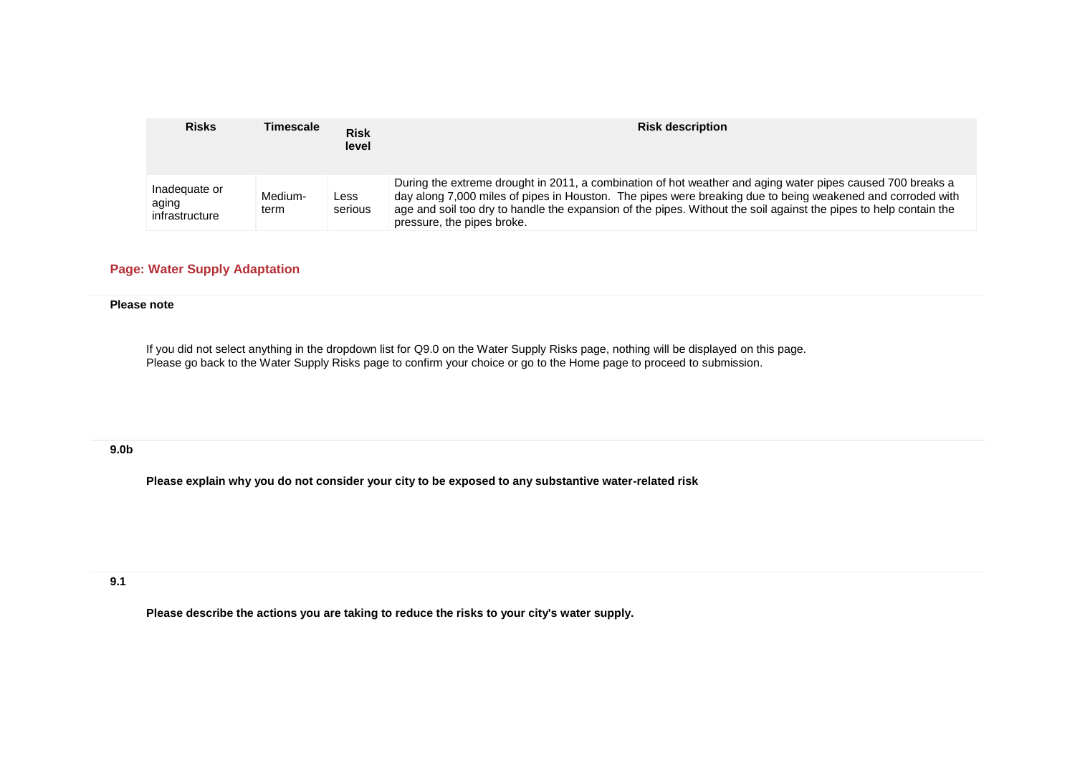| <b>Risks</b>                             | Timescale       | <b>Risk</b><br>level | <b>Risk description</b>                                                                                                                                                                                                                                                                                                                                                     |
|------------------------------------------|-----------------|----------------------|-----------------------------------------------------------------------------------------------------------------------------------------------------------------------------------------------------------------------------------------------------------------------------------------------------------------------------------------------------------------------------|
| Inadequate or<br>aging<br>infrastructure | Medium-<br>term | Less<br>serious      | During the extreme drought in 2011, a combination of hot weather and aging water pipes caused 700 breaks a<br>day along 7,000 miles of pipes in Houston. The pipes were breaking due to being weakened and corroded with<br>age and soil too dry to handle the expansion of the pipes. Without the soil against the pipes to help contain the<br>pressure, the pipes broke. |

# **Page: Water Supply Adaptation**

#### **Please note**

If you did not select anything in the dropdown list for Q9.0 on the Water Supply Risks page, nothing will be displayed on this page. Please go back to the Water Supply Risks page to confirm your choice or go to the Home page to proceed to submission.

#### **9.0b**

**Please explain why you do not consider your city to be exposed to any substantive water-related risk**

**9.1**

**Please describe the actions you are taking to reduce the risks to your city's water supply.**